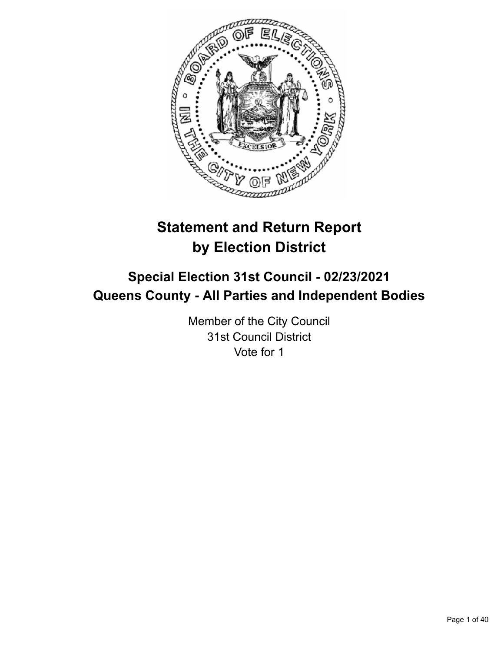

# **Statement and Return Report by Election District**

# **Special Election 31st Council - 02/23/2021 Queens County - All Parties and Independent Bodies**

Member of the City Council 31st Council District Vote for 1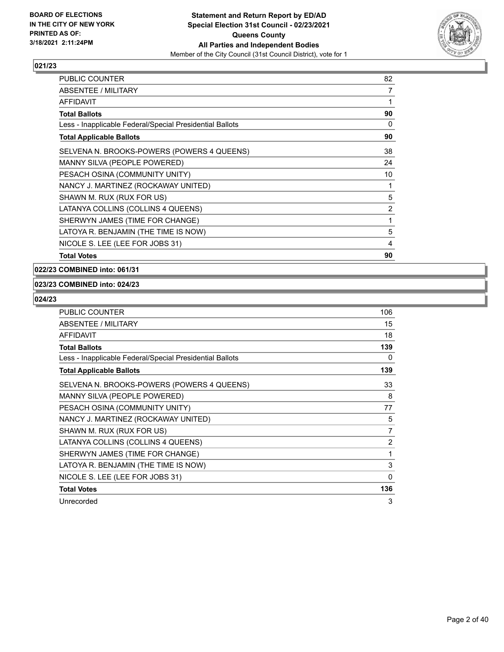

| <b>PUBLIC COUNTER</b>                                    | 82 |
|----------------------------------------------------------|----|
| ABSENTEE / MILITARY                                      | 7  |
| <b>AFFIDAVIT</b>                                         | 1  |
| <b>Total Ballots</b>                                     | 90 |
| Less - Inapplicable Federal/Special Presidential Ballots | 0  |
| <b>Total Applicable Ballots</b>                          | 90 |
| SELVENA N. BROOKS-POWERS (POWERS 4 QUEENS)               | 38 |
| MANNY SILVA (PEOPLE POWERED)                             | 24 |
| PESACH OSINA (COMMUNITY UNITY)                           | 10 |
| NANCY J. MARTINEZ (ROCKAWAY UNITED)                      | 1  |
| SHAWN M. RUX (RUX FOR US)                                | 5  |
| LATANYA COLLINS (COLLINS 4 QUEENS)                       | 2  |
| SHERWYN JAMES (TIME FOR CHANGE)                          | 1  |
| LATOYA R. BENJAMIN (THE TIME IS NOW)                     | 5  |
| NICOLE S. LEE (LEE FOR JOBS 31)                          | 4  |
| <b>Total Votes</b>                                       | 90 |

**022/23 COMBINED into: 061/31**

## **023/23 COMBINED into: 024/23**

| <b>PUBLIC COUNTER</b>                                    | 106            |
|----------------------------------------------------------|----------------|
| ABSENTEE / MILITARY                                      | 15             |
| <b>AFFIDAVIT</b>                                         | 18             |
| <b>Total Ballots</b>                                     | 139            |
| Less - Inapplicable Federal/Special Presidential Ballots | 0              |
| <b>Total Applicable Ballots</b>                          | 139            |
| SELVENA N. BROOKS-POWERS (POWERS 4 QUEENS)               | 33             |
| MANNY SILVA (PEOPLE POWERED)                             | 8              |
| PESACH OSINA (COMMUNITY UNITY)                           | 77             |
| NANCY J. MARTINEZ (ROCKAWAY UNITED)                      | 5              |
| SHAWN M. RUX (RUX FOR US)                                | 7              |
| LATANYA COLLINS (COLLINS 4 QUEENS)                       | $\overline{2}$ |
| SHERWYN JAMES (TIME FOR CHANGE)                          | 1              |
| LATOYA R. BENJAMIN (THE TIME IS NOW)                     | 3              |
| NICOLE S. LEE (LEE FOR JOBS 31)                          | 0              |
| <b>Total Votes</b>                                       | 136            |
| Unrecorded                                               | 3              |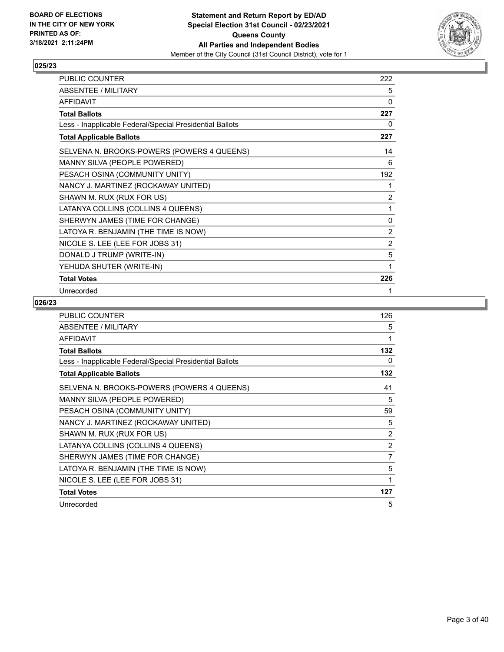

| PUBLIC COUNTER                                           | 222          |
|----------------------------------------------------------|--------------|
| ABSENTEE / MILITARY                                      | 5            |
| <b>AFFIDAVIT</b>                                         | 0            |
| <b>Total Ballots</b>                                     | 227          |
| Less - Inapplicable Federal/Special Presidential Ballots | 0            |
| <b>Total Applicable Ballots</b>                          | 227          |
| SELVENA N. BROOKS-POWERS (POWERS 4 QUEENS)               | 14           |
| MANNY SILVA (PEOPLE POWERED)                             | 6            |
| PESACH OSINA (COMMUNITY UNITY)                           | 192          |
| NANCY J. MARTINEZ (ROCKAWAY UNITED)                      | 1            |
| SHAWN M. RUX (RUX FOR US)                                | 2            |
| LATANYA COLLINS (COLLINS 4 QUEENS)                       | 1            |
| SHERWYN JAMES (TIME FOR CHANGE)                          | $\mathbf{0}$ |
| LATOYA R. BENJAMIN (THE TIME IS NOW)                     | 2            |
| NICOLE S. LEE (LEE FOR JOBS 31)                          | 2            |
| DONALD J TRUMP (WRITE-IN)                                | 5            |
| YEHUDA SHUTER (WRITE-IN)                                 | 1            |
| <b>Total Votes</b>                                       | 226          |
| Unrecorded                                               | 1            |

| PUBLIC COUNTER                                           | 126            |
|----------------------------------------------------------|----------------|
| ABSENTEE / MILITARY                                      | 5              |
| <b>AFFIDAVIT</b>                                         | 1              |
| Total Ballots                                            | 132            |
| Less - Inapplicable Federal/Special Presidential Ballots | 0              |
| <b>Total Applicable Ballots</b>                          | 132            |
| SELVENA N. BROOKS-POWERS (POWERS 4 QUEENS)               | 41             |
| MANNY SILVA (PEOPLE POWERED)                             | 5              |
| PESACH OSINA (COMMUNITY UNITY)                           | 59             |
| NANCY J. MARTINEZ (ROCKAWAY UNITED)                      | 5              |
| SHAWN M. RUX (RUX FOR US)                                | $\overline{2}$ |
| LATANYA COLLINS (COLLINS 4 QUEENS)                       | $\overline{2}$ |
| SHERWYN JAMES (TIME FOR CHANGE)                          | 7              |
| LATOYA R. BENJAMIN (THE TIME IS NOW)                     | 5              |
| NICOLE S. LEE (LEE FOR JOBS 31)                          | 1              |
| <b>Total Votes</b>                                       | 127            |
| Unrecorded                                               | 5              |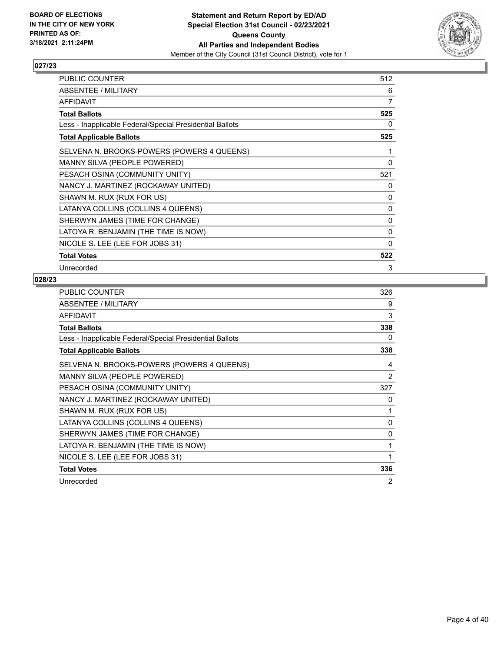

| PUBLIC COUNTER                                           | 512 |
|----------------------------------------------------------|-----|
| ABSENTEE / MILITARY                                      | 6   |
| AFFIDAVIT                                                | 7   |
| <b>Total Ballots</b>                                     | 525 |
| Less - Inapplicable Federal/Special Presidential Ballots | 0   |
| <b>Total Applicable Ballots</b>                          | 525 |
| SELVENA N. BROOKS-POWERS (POWERS 4 QUEENS)               | 1   |
| MANNY SILVA (PEOPLE POWERED)                             | 0   |
| PESACH OSINA (COMMUNITY UNITY)                           | 521 |
| NANCY J. MARTINEZ (ROCKAWAY UNITED)                      | 0   |
| SHAWN M. RUX (RUX FOR US)                                | 0   |
| LATANYA COLLINS (COLLINS 4 QUEENS)                       | 0   |
| SHERWYN JAMES (TIME FOR CHANGE)                          | 0   |
| LATOYA R. BENJAMIN (THE TIME IS NOW)                     | 0   |
| NICOLE S. LEE (LEE FOR JOBS 31)                          | 0   |
| <b>Total Votes</b>                                       | 522 |
| Unrecorded                                               | 3   |

| PUBLIC COUNTER                                           | 326 |
|----------------------------------------------------------|-----|
| ABSENTEE / MILITARY                                      | 9   |
| <b>AFFIDAVIT</b>                                         | 3   |
| <b>Total Ballots</b>                                     | 338 |
| Less - Inapplicable Federal/Special Presidential Ballots | 0   |
| <b>Total Applicable Ballots</b>                          | 338 |
| SELVENA N. BROOKS-POWERS (POWERS 4 QUEENS)               | 4   |
| MANNY SILVA (PEOPLE POWERED)                             | 2   |
| PESACH OSINA (COMMUNITY UNITY)                           | 327 |
| NANCY J. MARTINEZ (ROCKAWAY UNITED)                      | 0   |
| SHAWN M. RUX (RUX FOR US)                                | 1   |
| LATANYA COLLINS (COLLINS 4 QUEENS)                       | 0   |
| SHERWYN JAMES (TIME FOR CHANGE)                          | 0   |
| LATOYA R. BENJAMIN (THE TIME IS NOW)                     | 1   |
| NICOLE S. LEE (LEE FOR JOBS 31)                          | 1   |
| <b>Total Votes</b>                                       | 336 |
| Unrecorded                                               | 2   |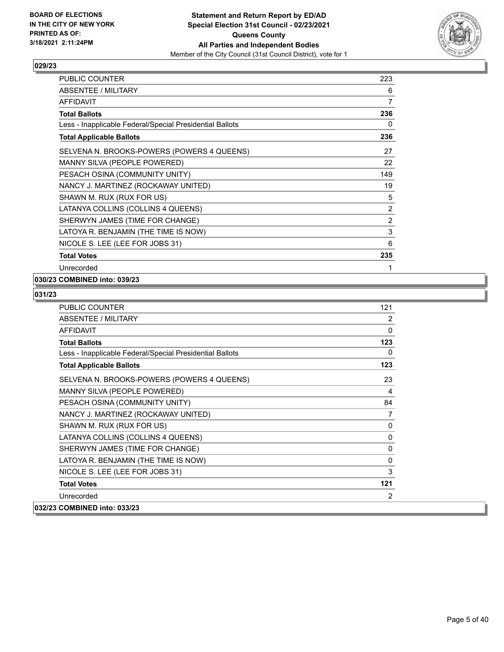

| <b>PUBLIC COUNTER</b>                                    | 223            |
|----------------------------------------------------------|----------------|
| ABSENTEE / MILITARY                                      | 6              |
| AFFIDAVIT                                                | $\overline{7}$ |
| <b>Total Ballots</b>                                     | 236            |
| Less - Inapplicable Federal/Special Presidential Ballots | 0              |
| <b>Total Applicable Ballots</b>                          | 236            |
| SELVENA N. BROOKS-POWERS (POWERS 4 QUEENS)               | 27             |
| MANNY SILVA (PEOPLE POWERED)                             | 22             |
| PESACH OSINA (COMMUNITY UNITY)                           | 149            |
| NANCY J. MARTINEZ (ROCKAWAY UNITED)                      | 19             |
| SHAWN M. RUX (RUX FOR US)                                | 5              |
| LATANYA COLLINS (COLLINS 4 QUEENS)                       | $\overline{2}$ |
| SHERWYN JAMES (TIME FOR CHANGE)                          | 2              |
| LATOYA R. BENJAMIN (THE TIME IS NOW)                     | 3              |
| NICOLE S. LEE (LEE FOR JOBS 31)                          | 6              |
| <b>Total Votes</b>                                       | 235            |
| Unrecorded                                               | 1              |

## **030/23 COMBINED into: 039/23**

| <b>PUBLIC COUNTER</b>                                    | 121            |
|----------------------------------------------------------|----------------|
| <b>ABSENTEE / MILITARY</b>                               | 2              |
| <b>AFFIDAVIT</b>                                         | 0              |
| <b>Total Ballots</b>                                     | 123            |
| Less - Inapplicable Federal/Special Presidential Ballots | 0              |
| <b>Total Applicable Ballots</b>                          | 123            |
| SELVENA N. BROOKS-POWERS (POWERS 4 QUEENS)               | 23             |
| MANNY SILVA (PEOPLE POWERED)                             | 4              |
| PESACH OSINA (COMMUNITY UNITY)                           | 84             |
| NANCY J. MARTINEZ (ROCKAWAY UNITED)                      | $\overline{7}$ |
| SHAWN M. RUX (RUX FOR US)                                | 0              |
| LATANYA COLLINS (COLLINS 4 QUEENS)                       | 0              |
| SHERWYN JAMES (TIME FOR CHANGE)                          | 0              |
| LATOYA R. BENJAMIN (THE TIME IS NOW)                     | 0              |
| NICOLE S. LEE (LEE FOR JOBS 31)                          | 3              |
| <b>Total Votes</b>                                       | 121            |
| Unrecorded                                               | 2              |
| 032/23 COMBINED into: 033/23                             |                |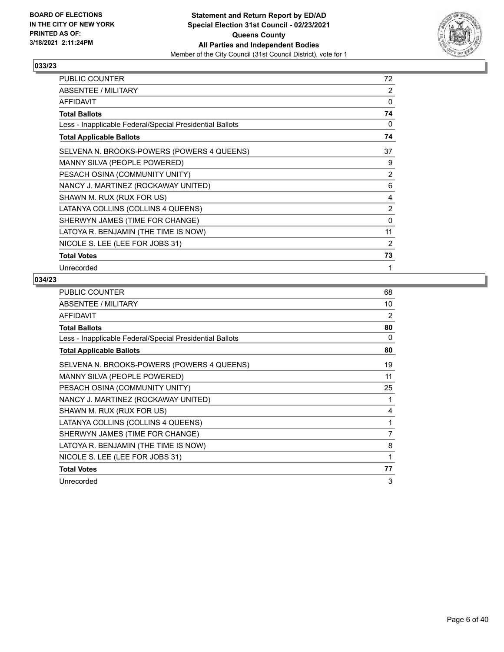

| PUBLIC COUNTER                                           | 72           |
|----------------------------------------------------------|--------------|
| ABSENTEE / MILITARY                                      | 2            |
| <b>AFFIDAVIT</b>                                         | 0            |
| <b>Total Ballots</b>                                     | 74           |
| Less - Inapplicable Federal/Special Presidential Ballots | 0            |
| <b>Total Applicable Ballots</b>                          | 74           |
| SELVENA N. BROOKS-POWERS (POWERS 4 QUEENS)               | 37           |
| MANNY SILVA (PEOPLE POWERED)                             | 9            |
| PESACH OSINA (COMMUNITY UNITY)                           | 2            |
| NANCY J. MARTINEZ (ROCKAWAY UNITED)                      | 6            |
| SHAWN M. RUX (RUX FOR US)                                | 4            |
| LATANYA COLLINS (COLLINS 4 QUEENS)                       | 2            |
| SHERWYN JAMES (TIME FOR CHANGE)                          | $\mathbf{0}$ |
| LATOYA R. BENJAMIN (THE TIME IS NOW)                     | 11           |
| NICOLE S. LEE (LEE FOR JOBS 31)                          | 2            |
| <b>Total Votes</b>                                       | 73           |
| Unrecorded                                               | 1            |

| PUBLIC COUNTER                                           | 68 |
|----------------------------------------------------------|----|
| ABSENTEE / MILITARY                                      | 10 |
| AFFIDAVIT                                                | 2  |
| <b>Total Ballots</b>                                     | 80 |
| Less - Inapplicable Federal/Special Presidential Ballots | 0  |
| <b>Total Applicable Ballots</b>                          | 80 |
| SELVENA N. BROOKS-POWERS (POWERS 4 QUEENS)               | 19 |
| MANNY SILVA (PEOPLE POWERED)                             | 11 |
| PESACH OSINA (COMMUNITY UNITY)                           | 25 |
| NANCY J. MARTINEZ (ROCKAWAY UNITED)                      | 1  |
| SHAWN M. RUX (RUX FOR US)                                | 4  |
| LATANYA COLLINS (COLLINS 4 QUEENS)                       | 1  |
| SHERWYN JAMES (TIME FOR CHANGE)                          | 7  |
| LATOYA R. BENJAMIN (THE TIME IS NOW)                     | 8  |
| NICOLE S. LEE (LEE FOR JOBS 31)                          | 1  |
| <b>Total Votes</b>                                       | 77 |
| Unrecorded                                               | 3  |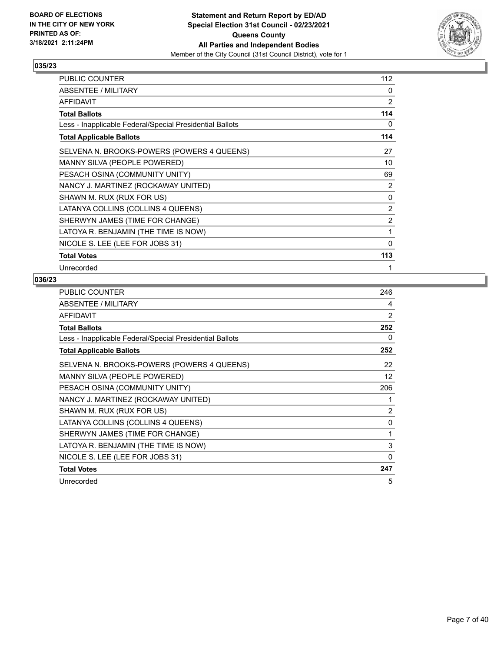

| PUBLIC COUNTER                                           | 112 |
|----------------------------------------------------------|-----|
| ABSENTEE / MILITARY                                      | 0   |
| <b>AFFIDAVIT</b>                                         | 2   |
| <b>Total Ballots</b>                                     | 114 |
| Less - Inapplicable Federal/Special Presidential Ballots | 0   |
| <b>Total Applicable Ballots</b>                          | 114 |
| SELVENA N. BROOKS-POWERS (POWERS 4 QUEENS)               | 27  |
| MANNY SILVA (PEOPLE POWERED)                             | 10  |
| PESACH OSINA (COMMUNITY UNITY)                           | 69  |
| NANCY J. MARTINEZ (ROCKAWAY UNITED)                      | 2   |
| SHAWN M. RUX (RUX FOR US)                                | 0   |
| LATANYA COLLINS (COLLINS 4 QUEENS)                       | 2   |
| SHERWYN JAMES (TIME FOR CHANGE)                          | 2   |
| LATOYA R. BENJAMIN (THE TIME IS NOW)                     | 1   |
| NICOLE S. LEE (LEE FOR JOBS 31)                          | 0   |
| <b>Total Votes</b>                                       | 113 |
| Unrecorded                                               | 1   |

| PUBLIC COUNTER                                           | 246      |
|----------------------------------------------------------|----------|
| ABSENTEE / MILITARY                                      | 4        |
| AFFIDAVIT                                                | 2        |
| <b>Total Ballots</b>                                     | 252      |
| Less - Inapplicable Federal/Special Presidential Ballots | 0        |
| <b>Total Applicable Ballots</b>                          | 252      |
| SELVENA N. BROOKS-POWERS (POWERS 4 QUEENS)               | 22       |
| MANNY SILVA (PEOPLE POWERED)                             | 12       |
| PESACH OSINA (COMMUNITY UNITY)                           | 206      |
| NANCY J. MARTINEZ (ROCKAWAY UNITED)                      | 1        |
| SHAWN M. RUX (RUX FOR US)                                | 2        |
| LATANYA COLLINS (COLLINS 4 QUEENS)                       | 0        |
| SHERWYN JAMES (TIME FOR CHANGE)                          | 1        |
| LATOYA R. BENJAMIN (THE TIME IS NOW)                     | 3        |
| NICOLE S. LEE (LEE FOR JOBS 31)                          | $\Omega$ |
| <b>Total Votes</b>                                       | 247      |
| Unrecorded                                               | 5        |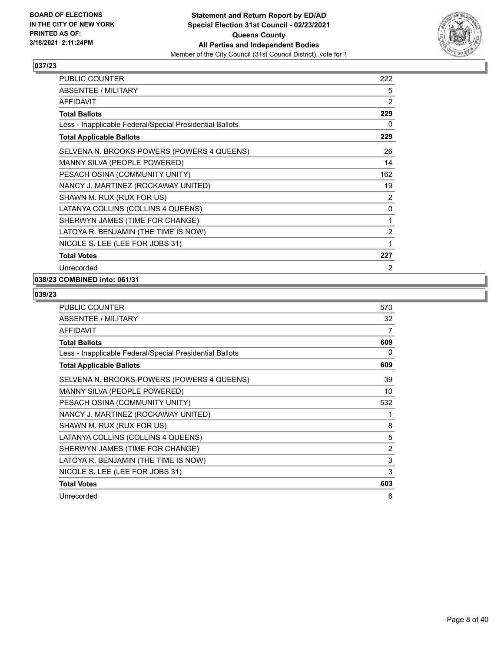

| <b>PUBLIC COUNTER</b>                                    | 222            |
|----------------------------------------------------------|----------------|
| ABSENTEE / MILITARY                                      | 5              |
| <b>AFFIDAVIT</b>                                         | 2              |
| <b>Total Ballots</b>                                     | 229            |
| Less - Inapplicable Federal/Special Presidential Ballots | 0              |
| <b>Total Applicable Ballots</b>                          | 229            |
| SELVENA N. BROOKS-POWERS (POWERS 4 QUEENS)               | 26             |
| MANNY SILVA (PEOPLE POWERED)                             | 14             |
| PESACH OSINA (COMMUNITY UNITY)                           | 162            |
| NANCY J. MARTINEZ (ROCKAWAY UNITED)                      | 19             |
| SHAWN M. RUX (RUX FOR US)                                | 2              |
| LATANYA COLLINS (COLLINS 4 QUEENS)                       | 0              |
| SHERWYN JAMES (TIME FOR CHANGE)                          | 1              |
| LATOYA R. BENJAMIN (THE TIME IS NOW)                     | $\overline{2}$ |
| NICOLE S. LEE (LEE FOR JOBS 31)                          | 1              |
| <b>Total Votes</b>                                       | 227            |
| Unrecorded                                               | 2              |

## **038/23 COMBINED into: 061/31**

| <b>PUBLIC COUNTER</b>                                    | 570 |
|----------------------------------------------------------|-----|
| ABSENTEE / MILITARY                                      | 32  |
| <b>AFFIDAVIT</b>                                         | 7   |
| <b>Total Ballots</b>                                     | 609 |
| Less - Inapplicable Federal/Special Presidential Ballots | 0   |
| <b>Total Applicable Ballots</b>                          | 609 |
| SELVENA N. BROOKS-POWERS (POWERS 4 QUEENS)               | 39  |
| MANNY SILVA (PEOPLE POWERED)                             | 10  |
| PESACH OSINA (COMMUNITY UNITY)                           | 532 |
| NANCY J. MARTINEZ (ROCKAWAY UNITED)                      | 1   |
| SHAWN M. RUX (RUX FOR US)                                | 8   |
| LATANYA COLLINS (COLLINS 4 QUEENS)                       | 5   |
| SHERWYN JAMES (TIME FOR CHANGE)                          | 2   |
| LATOYA R. BENJAMIN (THE TIME IS NOW)                     | 3   |
| NICOLE S. LEE (LEE FOR JOBS 31)                          | 3   |
| <b>Total Votes</b>                                       | 603 |
| Unrecorded                                               | 6   |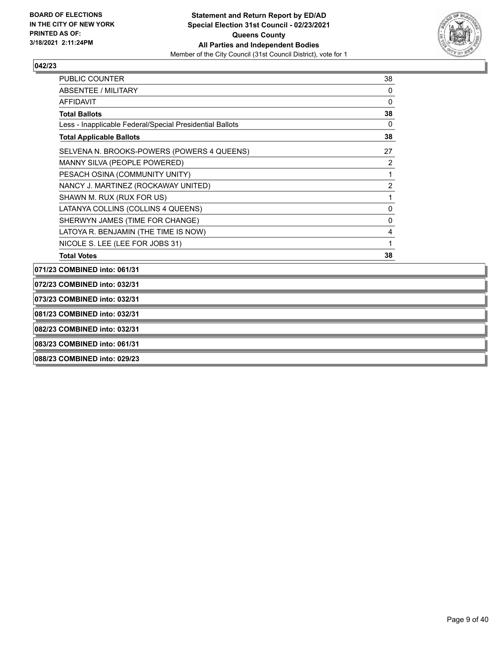

| <b>PUBLIC COUNTER</b>                                    | 38           |
|----------------------------------------------------------|--------------|
| ABSENTEE / MILITARY                                      | 0            |
| <b>AFFIDAVIT</b>                                         | $\mathbf{0}$ |
| <b>Total Ballots</b>                                     | 38           |
| Less - Inapplicable Federal/Special Presidential Ballots | 0            |
| <b>Total Applicable Ballots</b>                          | 38           |
| SELVENA N. BROOKS-POWERS (POWERS 4 QUEENS)               | 27           |
| MANNY SILVA (PEOPLE POWERED)                             | 2            |
| PESACH OSINA (COMMUNITY UNITY)                           | 1            |
| NANCY J. MARTINEZ (ROCKAWAY UNITED)                      | 2            |
| SHAWN M. RUX (RUX FOR US)                                | 1            |
| LATANYA COLLINS (COLLINS 4 QUEENS)                       | 0            |
| SHERWYN JAMES (TIME FOR CHANGE)                          | $\mathbf{0}$ |
| LATOYA R. BENJAMIN (THE TIME IS NOW)                     | 4            |
| NICOLE S. LEE (LEE FOR JOBS 31)                          | 1            |
| <b>Total Votes</b>                                       | 38           |
| COMRINEN into: 064/24                                    |              |

**071/23 COMBINED into: 061/31 072/23 COMBINED into: 032/31 073/23 COMBINED into: 032/31 081/23 COMBINED into: 032/31 082/23 COMBINED into: 032/31 083/23 COMBINED into: 061/31 088/23 COMBINED into: 029/23**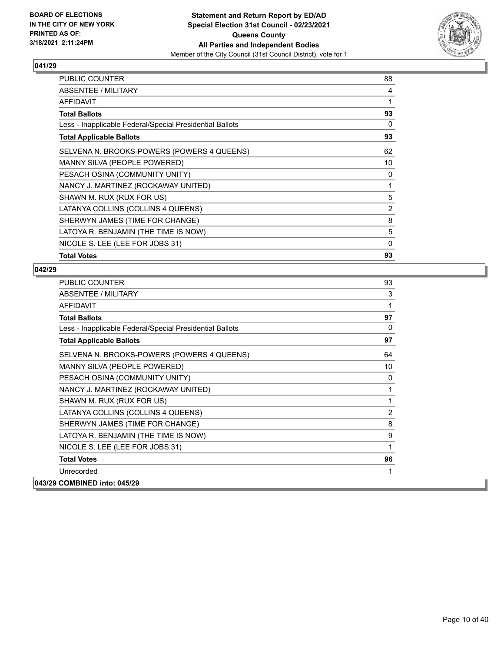

| PUBLIC COUNTER                                           | 88       |
|----------------------------------------------------------|----------|
| <b>ABSENTEE / MILITARY</b>                               | 4        |
| AFFIDAVIT                                                | 1        |
| Total Ballots                                            | 93       |
| Less - Inapplicable Federal/Special Presidential Ballots | 0        |
| <b>Total Applicable Ballots</b>                          | 93       |
| SELVENA N. BROOKS-POWERS (POWERS 4 QUEENS)               | 62       |
| MANNY SILVA (PEOPLE POWERED)                             | 10       |
| PESACH OSINA (COMMUNITY UNITY)                           | 0        |
| NANCY J. MARTINEZ (ROCKAWAY UNITED)                      | 1        |
| SHAWN M. RUX (RUX FOR US)                                | 5        |
| LATANYA COLLINS (COLLINS 4 QUEENS)                       | 2        |
| SHERWYN JAMES (TIME FOR CHANGE)                          | 8        |
| LATOYA R. BENJAMIN (THE TIME IS NOW)                     | 5        |
| NICOLE S. LEE (LEE FOR JOBS 31)                          | $\Omega$ |
| <b>Total Votes</b>                                       | 93       |

| PUBLIC COUNTER                                           | 93             |
|----------------------------------------------------------|----------------|
| <b>ABSENTEE / MILITARY</b>                               | 3              |
| AFFIDAVIT                                                | 1              |
| <b>Total Ballots</b>                                     | 97             |
| Less - Inapplicable Federal/Special Presidential Ballots | $\Omega$       |
| <b>Total Applicable Ballots</b>                          | 97             |
| SELVENA N. BROOKS-POWERS (POWERS 4 QUEENS)               | 64             |
| MANNY SILVA (PEOPLE POWERED)                             | 10             |
| PESACH OSINA (COMMUNITY UNITY)                           | 0              |
| NANCY J. MARTINEZ (ROCKAWAY UNITED)                      | 1              |
| SHAWN M. RUX (RUX FOR US)                                | 1              |
| LATANYA COLLINS (COLLINS 4 QUEENS)                       | $\overline{2}$ |
| SHERWYN JAMES (TIME FOR CHANGE)                          | 8              |
| LATOYA R. BENJAMIN (THE TIME IS NOW)                     | 9              |
| NICOLE S. LEE (LEE FOR JOBS 31)                          | 1              |
| <b>Total Votes</b>                                       | 96             |
| Unrecorded                                               | 1              |
| 043/29 COMBINED into: 045/29                             |                |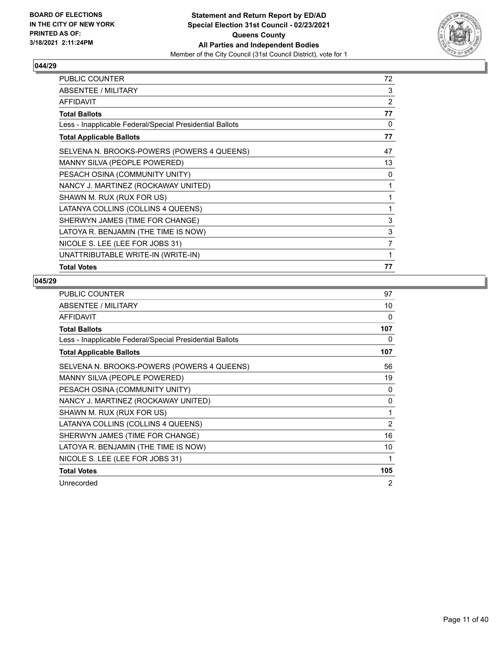

| <b>PUBLIC COUNTER</b>                                    | 72             |
|----------------------------------------------------------|----------------|
| ABSENTEE / MILITARY                                      | 3              |
| AFFIDAVIT                                                | 2              |
| <b>Total Ballots</b>                                     | 77             |
| Less - Inapplicable Federal/Special Presidential Ballots | 0              |
| <b>Total Applicable Ballots</b>                          | 77             |
| SELVENA N. BROOKS-POWERS (POWERS 4 QUEENS)               | 47             |
| MANNY SILVA (PEOPLE POWERED)                             | 13             |
| PESACH OSINA (COMMUNITY UNITY)                           | 0              |
| NANCY J. MARTINEZ (ROCKAWAY UNITED)                      | 1              |
| SHAWN M. RUX (RUX FOR US)                                | 1              |
| LATANYA COLLINS (COLLINS 4 QUEENS)                       | 1              |
| SHERWYN JAMES (TIME FOR CHANGE)                          | 3              |
| LATOYA R. BENJAMIN (THE TIME IS NOW)                     | 3              |
| NICOLE S. LEE (LEE FOR JOBS 31)                          | $\overline{7}$ |
| UNATTRIBUTABLE WRITE-IN (WRITE-IN)                       | 1              |
| <b>Total Votes</b>                                       | 77             |

| PUBLIC COUNTER                                           | 97  |
|----------------------------------------------------------|-----|
| ABSENTEE / MILITARY                                      | 10  |
| <b>AFFIDAVIT</b>                                         | 0   |
| <b>Total Ballots</b>                                     | 107 |
| Less - Inapplicable Federal/Special Presidential Ballots | 0   |
| <b>Total Applicable Ballots</b>                          | 107 |
| SELVENA N. BROOKS-POWERS (POWERS 4 QUEENS)               | 56  |
| MANNY SILVA (PEOPLE POWERED)                             | 19  |
| PESACH OSINA (COMMUNITY UNITY)                           | 0   |
| NANCY J. MARTINEZ (ROCKAWAY UNITED)                      | 0   |
| SHAWN M. RUX (RUX FOR US)                                | 1   |
| LATANYA COLLINS (COLLINS 4 QUEENS)                       | 2   |
| SHERWYN JAMES (TIME FOR CHANGE)                          | 16  |
| LATOYA R. BENJAMIN (THE TIME IS NOW)                     | 10  |
| NICOLE S. LEE (LEE FOR JOBS 31)                          | 1   |
| <b>Total Votes</b>                                       | 105 |
| Unrecorded                                               | 2   |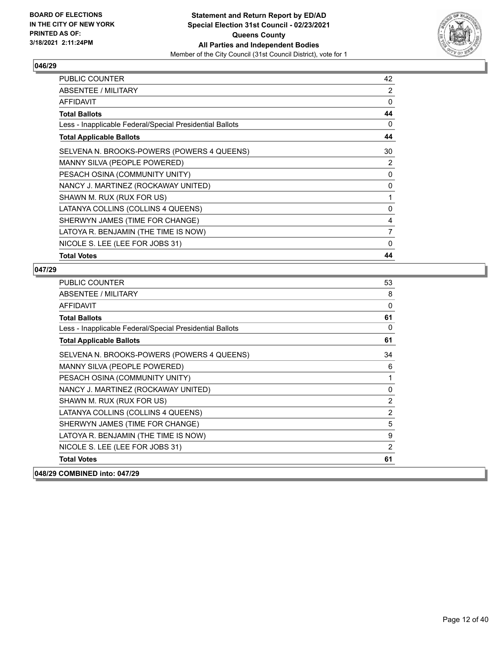

| PUBLIC COUNTER                                           | 42           |
|----------------------------------------------------------|--------------|
| ABSENTEE / MILITARY                                      | 2            |
| AFFIDAVIT                                                | 0            |
| Total Ballots                                            | 44           |
| Less - Inapplicable Federal/Special Presidential Ballots | 0            |
| <b>Total Applicable Ballots</b>                          | 44           |
| SELVENA N. BROOKS-POWERS (POWERS 4 QUEENS)               | 30           |
| MANNY SILVA (PEOPLE POWERED)                             | 2            |
| PESACH OSINA (COMMUNITY UNITY)                           | 0            |
| NANCY J. MARTINEZ (ROCKAWAY UNITED)                      | 0            |
| SHAWN M. RUX (RUX FOR US)                                | 1            |
| LATANYA COLLINS (COLLINS 4 QUEENS)                       | 0            |
| SHERWYN JAMES (TIME FOR CHANGE)                          | 4            |
| LATOYA R. BENJAMIN (THE TIME IS NOW)                     | 7            |
| NICOLE S. LEE (LEE FOR JOBS 31)                          | $\mathbf{0}$ |
| <b>Total Votes</b>                                       | 44           |

| PUBLIC COUNTER                                           | 53             |
|----------------------------------------------------------|----------------|
| <b>ABSENTEE / MILITARY</b>                               | 8              |
| <b>AFFIDAVIT</b>                                         | 0              |
| <b>Total Ballots</b>                                     | 61             |
| Less - Inapplicable Federal/Special Presidential Ballots | $\mathbf{0}$   |
| <b>Total Applicable Ballots</b>                          | 61             |
| SELVENA N. BROOKS-POWERS (POWERS 4 QUEENS)               | 34             |
| MANNY SILVA (PEOPLE POWERED)                             | 6              |
| PESACH OSINA (COMMUNITY UNITY)                           | 1              |
| NANCY J. MARTINEZ (ROCKAWAY UNITED)                      | $\mathbf 0$    |
| SHAWN M. RUX (RUX FOR US)                                | $\overline{2}$ |
| LATANYA COLLINS (COLLINS 4 QUEENS)                       | $\overline{2}$ |
| SHERWYN JAMES (TIME FOR CHANGE)                          | 5              |
| LATOYA R. BENJAMIN (THE TIME IS NOW)                     | 9              |
| NICOLE S. LEE (LEE FOR JOBS 31)                          | $\overline{2}$ |
| <b>Total Votes</b>                                       | 61             |
| 048/29 COMBINED into: 047/29                             |                |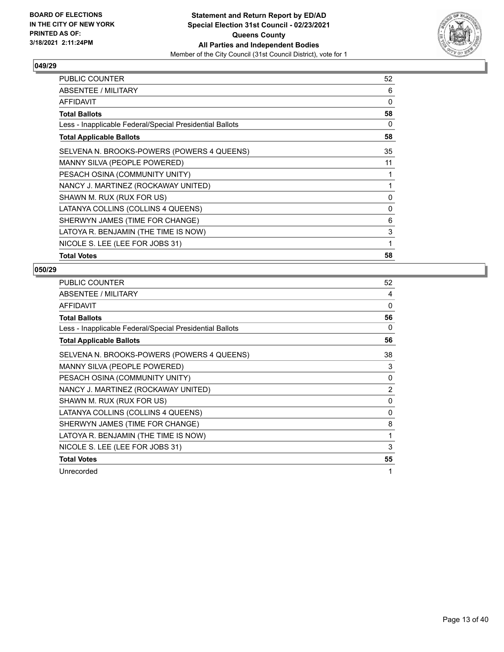

| PUBLIC COUNTER                                           | 52           |
|----------------------------------------------------------|--------------|
| <b>ABSENTEE / MILITARY</b>                               | 6            |
| AFFIDAVIT                                                | 0            |
| <b>Total Ballots</b>                                     | 58           |
| Less - Inapplicable Federal/Special Presidential Ballots | $\Omega$     |
| <b>Total Applicable Ballots</b>                          | 58           |
| SELVENA N. BROOKS-POWERS (POWERS 4 QUEENS)               | 35           |
| MANNY SILVA (PEOPLE POWERED)                             | 11           |
| PESACH OSINA (COMMUNITY UNITY)                           | 1            |
| NANCY J. MARTINEZ (ROCKAWAY UNITED)                      | 1            |
| SHAWN M. RUX (RUX FOR US)                                | 0            |
| LATANYA COLLINS (COLLINS 4 QUEENS)                       | $\mathbf{0}$ |
| SHERWYN JAMES (TIME FOR CHANGE)                          | 6            |
| LATOYA R. BENJAMIN (THE TIME IS NOW)                     | 3            |
| NICOLE S. LEE (LEE FOR JOBS 31)                          | 1            |
| <b>Total Votes</b>                                       | 58           |

| PUBLIC COUNTER                                           | 52             |
|----------------------------------------------------------|----------------|
| ABSENTEE / MILITARY                                      | 4              |
| <b>AFFIDAVIT</b>                                         | $\Omega$       |
| <b>Total Ballots</b>                                     | 56             |
| Less - Inapplicable Federal/Special Presidential Ballots | 0              |
| <b>Total Applicable Ballots</b>                          | 56             |
| SELVENA N. BROOKS-POWERS (POWERS 4 QUEENS)               | 38             |
| MANNY SILVA (PEOPLE POWERED)                             | 3              |
| PESACH OSINA (COMMUNITY UNITY)                           | 0              |
| NANCY J. MARTINEZ (ROCKAWAY UNITED)                      | $\overline{2}$ |
| SHAWN M. RUX (RUX FOR US)                                | $\mathbf{0}$   |
| LATANYA COLLINS (COLLINS 4 QUEENS)                       | 0              |
| SHERWYN JAMES (TIME FOR CHANGE)                          | 8              |
| LATOYA R. BENJAMIN (THE TIME IS NOW)                     | 1              |
| NICOLE S. LEE (LEE FOR JOBS 31)                          | 3              |
| <b>Total Votes</b>                                       | 55             |
| Unrecorded                                               | 1              |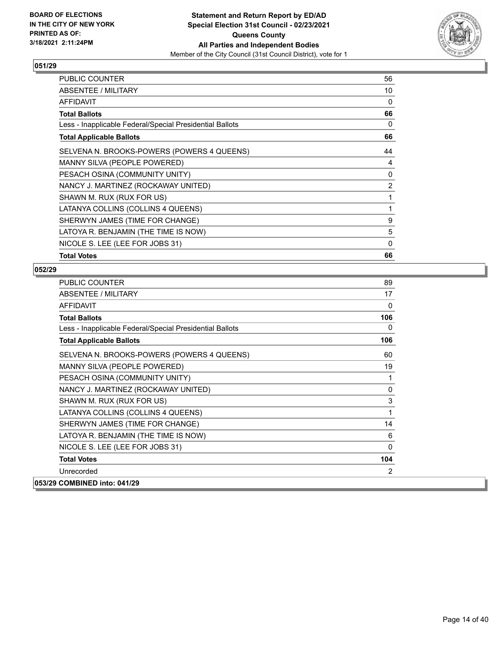

| PUBLIC COUNTER                                           | 56             |
|----------------------------------------------------------|----------------|
| <b>ABSENTEE / MILITARY</b>                               | 10             |
| AFFIDAVIT                                                | 0              |
| Total Ballots                                            | 66             |
| Less - Inapplicable Federal/Special Presidential Ballots | 0              |
| <b>Total Applicable Ballots</b>                          | 66             |
| SELVENA N. BROOKS-POWERS (POWERS 4 QUEENS)               | 44             |
| MANNY SILVA (PEOPLE POWERED)                             | 4              |
| PESACH OSINA (COMMUNITY UNITY)                           | 0              |
| NANCY J. MARTINEZ (ROCKAWAY UNITED)                      | $\overline{2}$ |
| SHAWN M. RUX (RUX FOR US)                                | 1              |
| LATANYA COLLINS (COLLINS 4 QUEENS)                       | 1              |
| SHERWYN JAMES (TIME FOR CHANGE)                          | 9              |
| LATOYA R. BENJAMIN (THE TIME IS NOW)                     | 5              |
| NICOLE S. LEE (LEE FOR JOBS 31)                          | 0              |
| <b>Total Votes</b>                                       | 66             |

| PUBLIC COUNTER                                           | 89           |
|----------------------------------------------------------|--------------|
| <b>ABSENTEE / MILITARY</b>                               | 17           |
| <b>AFFIDAVIT</b>                                         | $\Omega$     |
| <b>Total Ballots</b>                                     | 106          |
| Less - Inapplicable Federal/Special Presidential Ballots | 0            |
| <b>Total Applicable Ballots</b>                          | 106          |
| SELVENA N. BROOKS-POWERS (POWERS 4 QUEENS)               | 60           |
| MANNY SILVA (PEOPLE POWERED)                             | 19           |
| PESACH OSINA (COMMUNITY UNITY)                           | 1            |
| NANCY J. MARTINEZ (ROCKAWAY UNITED)                      | $\mathbf 0$  |
| SHAWN M. RUX (RUX FOR US)                                | 3            |
| LATANYA COLLINS (COLLINS 4 QUEENS)                       | $\mathbf{1}$ |
| SHERWYN JAMES (TIME FOR CHANGE)                          | 14           |
| LATOYA R. BENJAMIN (THE TIME IS NOW)                     | 6            |
| NICOLE S. LEE (LEE FOR JOBS 31)                          | $\Omega$     |
| <b>Total Votes</b>                                       | 104          |
| Unrecorded                                               | 2            |
| 053/29 COMBINED into: 041/29                             |              |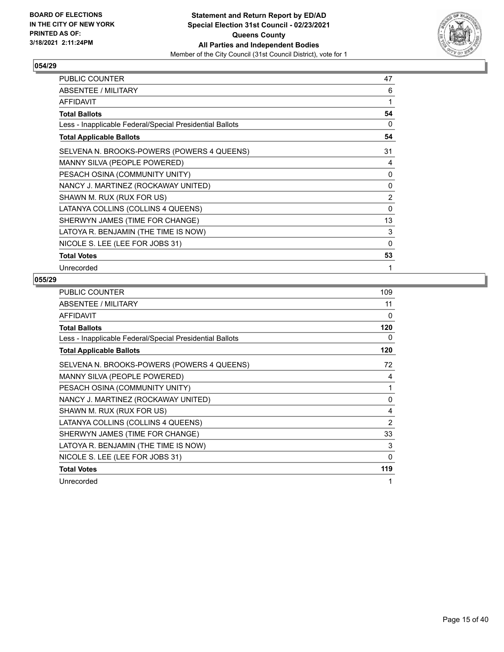

| PUBLIC COUNTER                                           | 47             |
|----------------------------------------------------------|----------------|
| <b>ABSENTEE / MILITARY</b>                               | 6              |
| <b>AFFIDAVIT</b>                                         | 1              |
| <b>Total Ballots</b>                                     | 54             |
| Less - Inapplicable Federal/Special Presidential Ballots | $\Omega$       |
| <b>Total Applicable Ballots</b>                          | 54             |
| SELVENA N. BROOKS-POWERS (POWERS 4 QUEENS)               | 31             |
| MANNY SILVA (PEOPLE POWERED)                             | 4              |
| PESACH OSINA (COMMUNITY UNITY)                           | 0              |
| NANCY J. MARTINEZ (ROCKAWAY UNITED)                      | 0              |
| SHAWN M. RUX (RUX FOR US)                                | $\overline{2}$ |
| LATANYA COLLINS (COLLINS 4 QUEENS)                       | 0              |
| SHERWYN JAMES (TIME FOR CHANGE)                          | 13             |
| LATOYA R. BENJAMIN (THE TIME IS NOW)                     | 3              |
| NICOLE S. LEE (LEE FOR JOBS 31)                          | 0              |
| <b>Total Votes</b>                                       | 53             |
| Unrecorded                                               | 1              |

| PUBLIC COUNTER                                           | 109      |
|----------------------------------------------------------|----------|
| ABSENTEE / MILITARY                                      | 11       |
| AFFIDAVIT                                                | $\Omega$ |
| <b>Total Ballots</b>                                     | 120      |
| Less - Inapplicable Federal/Special Presidential Ballots | 0        |
| <b>Total Applicable Ballots</b>                          | 120      |
| SELVENA N. BROOKS-POWERS (POWERS 4 QUEENS)               | 72       |
| MANNY SILVA (PEOPLE POWERED)                             | 4        |
| PESACH OSINA (COMMUNITY UNITY)                           | 1        |
| NANCY J. MARTINEZ (ROCKAWAY UNITED)                      | 0        |
| SHAWN M. RUX (RUX FOR US)                                | 4        |
| LATANYA COLLINS (COLLINS 4 QUEENS)                       | 2        |
| SHERWYN JAMES (TIME FOR CHANGE)                          | 33       |
| LATOYA R. BENJAMIN (THE TIME IS NOW)                     | 3        |
| NICOLE S. LEE (LEE FOR JOBS 31)                          | $\Omega$ |
| <b>Total Votes</b>                                       | 119      |
| Unrecorded                                               | 1        |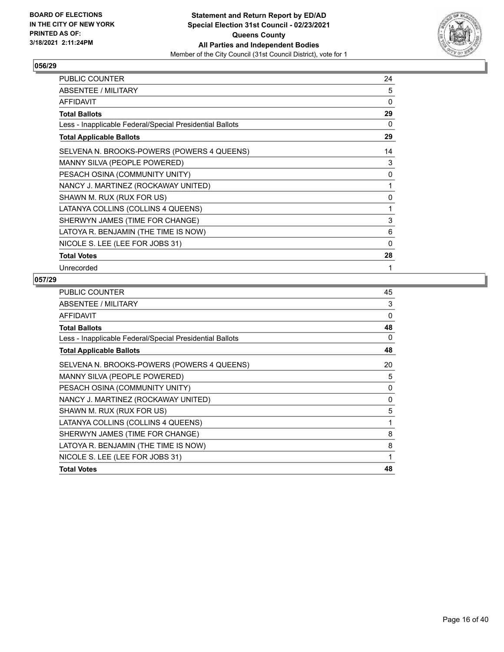

| PUBLIC COUNTER                                           | 24 |
|----------------------------------------------------------|----|
| ABSENTEE / MILITARY                                      | 5  |
| <b>AFFIDAVIT</b>                                         | 0  |
| <b>Total Ballots</b>                                     | 29 |
| Less - Inapplicable Federal/Special Presidential Ballots | 0  |
| <b>Total Applicable Ballots</b>                          | 29 |
| SELVENA N. BROOKS-POWERS (POWERS 4 QUEENS)               | 14 |
| MANNY SILVA (PEOPLE POWERED)                             | 3  |
| PESACH OSINA (COMMUNITY UNITY)                           | 0  |
| NANCY J. MARTINEZ (ROCKAWAY UNITED)                      | 1  |
| SHAWN M. RUX (RUX FOR US)                                | 0  |
| LATANYA COLLINS (COLLINS 4 QUEENS)                       | 1  |
| SHERWYN JAMES (TIME FOR CHANGE)                          | 3  |
| LATOYA R. BENJAMIN (THE TIME IS NOW)                     | 6  |
| NICOLE S. LEE (LEE FOR JOBS 31)                          | 0  |
| <b>Total Votes</b>                                       | 28 |
| Unrecorded                                               | 1  |

| <b>PUBLIC COUNTER</b>                                    | 45 |
|----------------------------------------------------------|----|
| <b>ABSENTEE / MILITARY</b>                               | 3  |
| <b>AFFIDAVIT</b>                                         | 0  |
| <b>Total Ballots</b>                                     | 48 |
| Less - Inapplicable Federal/Special Presidential Ballots | 0  |
| <b>Total Applicable Ballots</b>                          | 48 |
| SELVENA N. BROOKS-POWERS (POWERS 4 QUEENS)               | 20 |
| MANNY SILVA (PEOPLE POWERED)                             | 5  |
| PESACH OSINA (COMMUNITY UNITY)                           | 0  |
| NANCY J. MARTINEZ (ROCKAWAY UNITED)                      | 0  |
| SHAWN M. RUX (RUX FOR US)                                | 5  |
| LATANYA COLLINS (COLLINS 4 QUEENS)                       | 1  |
| SHERWYN JAMES (TIME FOR CHANGE)                          | 8  |
| LATOYA R. BENJAMIN (THE TIME IS NOW)                     | 8  |
| NICOLE S. LEE (LEE FOR JOBS 31)                          | 1  |
| <b>Total Votes</b>                                       | 48 |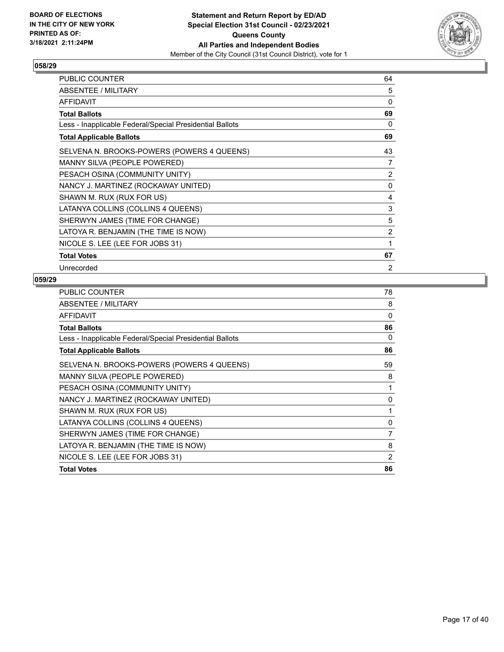

| PUBLIC COUNTER                                           | 64             |
|----------------------------------------------------------|----------------|
| ABSENTEE / MILITARY                                      | 5              |
| <b>AFFIDAVIT</b>                                         | 0              |
| <b>Total Ballots</b>                                     | 69             |
| Less - Inapplicable Federal/Special Presidential Ballots | 0              |
| <b>Total Applicable Ballots</b>                          | 69             |
| SELVENA N. BROOKS-POWERS (POWERS 4 QUEENS)               | 43             |
| MANNY SILVA (PEOPLE POWERED)                             | 7              |
| PESACH OSINA (COMMUNITY UNITY)                           | 2              |
| NANCY J. MARTINEZ (ROCKAWAY UNITED)                      | 0              |
| SHAWN M. RUX (RUX FOR US)                                | 4              |
| LATANYA COLLINS (COLLINS 4 QUEENS)                       | 3              |
| SHERWYN JAMES (TIME FOR CHANGE)                          | 5              |
| LATOYA R. BENJAMIN (THE TIME IS NOW)                     | $\overline{2}$ |
| NICOLE S. LEE (LEE FOR JOBS 31)                          | 1              |
| <b>Total Votes</b>                                       | 67             |
| Unrecorded                                               | 2              |

| <b>PUBLIC COUNTER</b>                                    | 78             |
|----------------------------------------------------------|----------------|
| <b>ABSENTEE / MILITARY</b>                               | 8              |
| <b>AFFIDAVIT</b>                                         | 0              |
| <b>Total Ballots</b>                                     | 86             |
| Less - Inapplicable Federal/Special Presidential Ballots | $\Omega$       |
| <b>Total Applicable Ballots</b>                          | 86             |
| SELVENA N. BROOKS-POWERS (POWERS 4 QUEENS)               | 59             |
| MANNY SILVA (PEOPLE POWERED)                             | 8              |
| PESACH OSINA (COMMUNITY UNITY)                           | 1              |
| NANCY J. MARTINEZ (ROCKAWAY UNITED)                      | 0              |
| SHAWN M. RUX (RUX FOR US)                                | 1              |
| LATANYA COLLINS (COLLINS 4 QUEENS)                       | 0              |
| SHERWYN JAMES (TIME FOR CHANGE)                          | $\overline{7}$ |
| LATOYA R. BENJAMIN (THE TIME IS NOW)                     | 8              |
| NICOLE S. LEE (LEE FOR JOBS 31)                          | 2              |
| <b>Total Votes</b>                                       | 86             |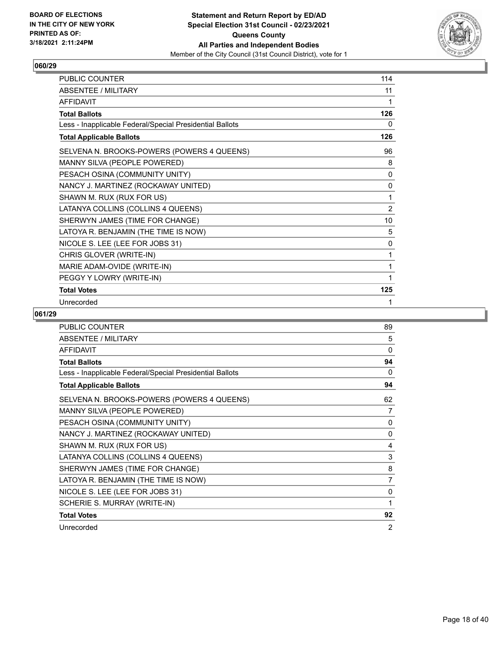

| <b>PUBLIC COUNTER</b>                                    | 114          |
|----------------------------------------------------------|--------------|
| ABSENTEE / MILITARY                                      | 11           |
| AFFIDAVIT                                                | 1            |
| <b>Total Ballots</b>                                     | 126          |
| Less - Inapplicable Federal/Special Presidential Ballots | 0            |
| <b>Total Applicable Ballots</b>                          | 126          |
| SELVENA N. BROOKS-POWERS (POWERS 4 QUEENS)               | 96           |
| MANNY SILVA (PEOPLE POWERED)                             | 8            |
| PESACH OSINA (COMMUNITY UNITY)                           | 0            |
| NANCY J. MARTINEZ (ROCKAWAY UNITED)                      | $\mathbf{0}$ |
| SHAWN M. RUX (RUX FOR US)                                | 1            |
| LATANYA COLLINS (COLLINS 4 QUEENS)                       | 2            |
| SHERWYN JAMES (TIME FOR CHANGE)                          | 10           |
| LATOYA R. BENJAMIN (THE TIME IS NOW)                     | 5            |
| NICOLE S. LEE (LEE FOR JOBS 31)                          | 0            |
| CHRIS GLOVER (WRITE-IN)                                  | 1            |
| MARIE ADAM-OVIDE (WRITE-IN)                              | 1            |
| PEGGY Y LOWRY (WRITE-IN)                                 |              |
| <b>Total Votes</b>                                       | 125          |
| Unrecorded                                               | 1            |

| <b>PUBLIC COUNTER</b>                                    | 89             |
|----------------------------------------------------------|----------------|
| <b>ABSENTEE / MILITARY</b>                               | 5              |
| <b>AFFIDAVIT</b>                                         | 0              |
| <b>Total Ballots</b>                                     | 94             |
| Less - Inapplicable Federal/Special Presidential Ballots | 0              |
| <b>Total Applicable Ballots</b>                          | 94             |
| SELVENA N. BROOKS-POWERS (POWERS 4 QUEENS)               | 62             |
| MANNY SILVA (PEOPLE POWERED)                             | 7              |
| PESACH OSINA (COMMUNITY UNITY)                           | 0              |
| NANCY J. MARTINEZ (ROCKAWAY UNITED)                      | 0              |
| SHAWN M. RUX (RUX FOR US)                                | 4              |
| LATANYA COLLINS (COLLINS 4 QUEENS)                       | 3              |
| SHERWYN JAMES (TIME FOR CHANGE)                          | 8              |
| LATOYA R. BENJAMIN (THE TIME IS NOW)                     | $\overline{7}$ |
| NICOLE S. LEE (LEE FOR JOBS 31)                          | 0              |
| SCHERIE S. MURRAY (WRITE-IN)                             | 1              |
| <b>Total Votes</b>                                       | 92             |
| Unrecorded                                               | 2              |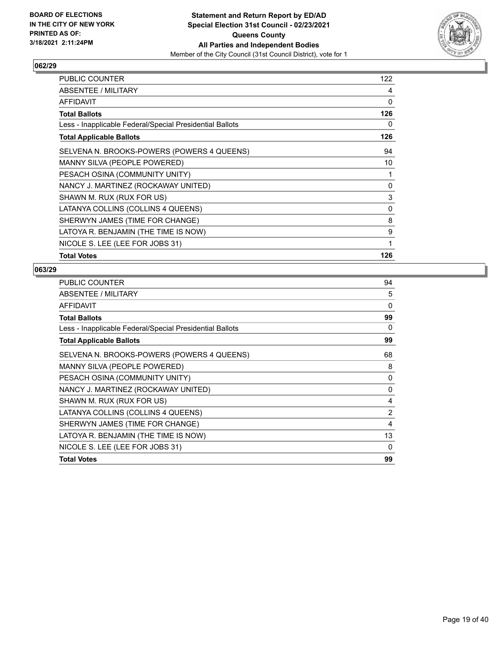

| PUBLIC COUNTER                                           | 122          |
|----------------------------------------------------------|--------------|
| ABSENTEE / MILITARY                                      | 4            |
| AFFIDAVIT                                                | 0            |
| <b>Total Ballots</b>                                     | 126          |
| Less - Inapplicable Federal/Special Presidential Ballots | 0            |
| <b>Total Applicable Ballots</b>                          | 126          |
| SELVENA N. BROOKS-POWERS (POWERS 4 QUEENS)               | 94           |
| MANNY SILVA (PEOPLE POWERED)                             | 10           |
| PESACH OSINA (COMMUNITY UNITY)                           | 1            |
| NANCY J. MARTINEZ (ROCKAWAY UNITED)                      | 0            |
| SHAWN M. RUX (RUX FOR US)                                | 3            |
| LATANYA COLLINS (COLLINS 4 QUEENS)                       | $\mathbf{0}$ |
| SHERWYN JAMES (TIME FOR CHANGE)                          | 8            |
| LATOYA R. BENJAMIN (THE TIME IS NOW)                     | 9            |
| NICOLE S. LEE (LEE FOR JOBS 31)                          | 1            |
| <b>Total Votes</b>                                       | 126          |

| PUBLIC COUNTER                                           | 94           |
|----------------------------------------------------------|--------------|
| ABSENTEE / MILITARY                                      | 5            |
| <b>AFFIDAVIT</b>                                         | $\Omega$     |
| <b>Total Ballots</b>                                     | 99           |
| Less - Inapplicable Federal/Special Presidential Ballots | 0            |
| <b>Total Applicable Ballots</b>                          | 99           |
| SELVENA N. BROOKS-POWERS (POWERS 4 QUEENS)               | 68           |
| MANNY SILVA (PEOPLE POWERED)                             | 8            |
| PESACH OSINA (COMMUNITY UNITY)                           | 0            |
| NANCY J. MARTINEZ (ROCKAWAY UNITED)                      | $\mathbf{0}$ |
| SHAWN M. RUX (RUX FOR US)                                | 4            |
| LATANYA COLLINS (COLLINS 4 QUEENS)                       | 2            |
| SHERWYN JAMES (TIME FOR CHANGE)                          | 4            |
| LATOYA R. BENJAMIN (THE TIME IS NOW)                     | 13           |
| NICOLE S. LEE (LEE FOR JOBS 31)                          | 0            |
| <b>Total Votes</b>                                       | 99           |
|                                                          |              |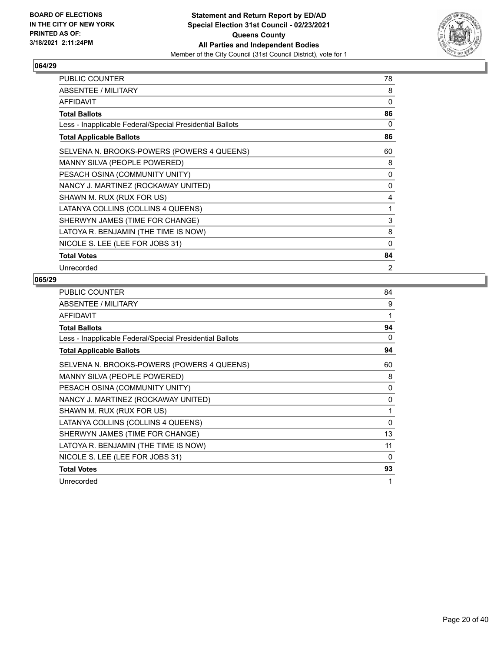

| PUBLIC COUNTER                                           | 78       |
|----------------------------------------------------------|----------|
| ABSENTEE / MILITARY                                      | 8        |
| <b>AFFIDAVIT</b>                                         | 0        |
| <b>Total Ballots</b>                                     | 86       |
| Less - Inapplicable Federal/Special Presidential Ballots | 0        |
| <b>Total Applicable Ballots</b>                          | 86       |
| SELVENA N. BROOKS-POWERS (POWERS 4 QUEENS)               | 60       |
| MANNY SILVA (PEOPLE POWERED)                             | 8        |
| PESACH OSINA (COMMUNITY UNITY)                           | 0        |
| NANCY J. MARTINEZ (ROCKAWAY UNITED)                      | 0        |
| SHAWN M. RUX (RUX FOR US)                                | 4        |
| LATANYA COLLINS (COLLINS 4 QUEENS)                       | 1        |
| SHERWYN JAMES (TIME FOR CHANGE)                          | 3        |
| LATOYA R. BENJAMIN (THE TIME IS NOW)                     | 8        |
| NICOLE S. LEE (LEE FOR JOBS 31)                          | $\Omega$ |
| <b>Total Votes</b>                                       | 84       |
| Unrecorded                                               | 2        |

| PUBLIC COUNTER                                           | 84       |
|----------------------------------------------------------|----------|
| ABSENTEE / MILITARY                                      | 9        |
| <b>AFFIDAVIT</b>                                         | 1        |
| <b>Total Ballots</b>                                     | 94       |
| Less - Inapplicable Federal/Special Presidential Ballots | 0        |
| <b>Total Applicable Ballots</b>                          | 94       |
| SELVENA N. BROOKS-POWERS (POWERS 4 QUEENS)               | 60       |
| MANNY SILVA (PEOPLE POWERED)                             | 8        |
| PESACH OSINA (COMMUNITY UNITY)                           | 0        |
| NANCY J. MARTINEZ (ROCKAWAY UNITED)                      | 0        |
| SHAWN M. RUX (RUX FOR US)                                | 1        |
| LATANYA COLLINS (COLLINS 4 QUEENS)                       | 0        |
| SHERWYN JAMES (TIME FOR CHANGE)                          | 13       |
| LATOYA R. BENJAMIN (THE TIME IS NOW)                     | 11       |
| NICOLE S. LEE (LEE FOR JOBS 31)                          | $\Omega$ |
| <b>Total Votes</b>                                       | 93       |
| Unrecorded                                               | 1        |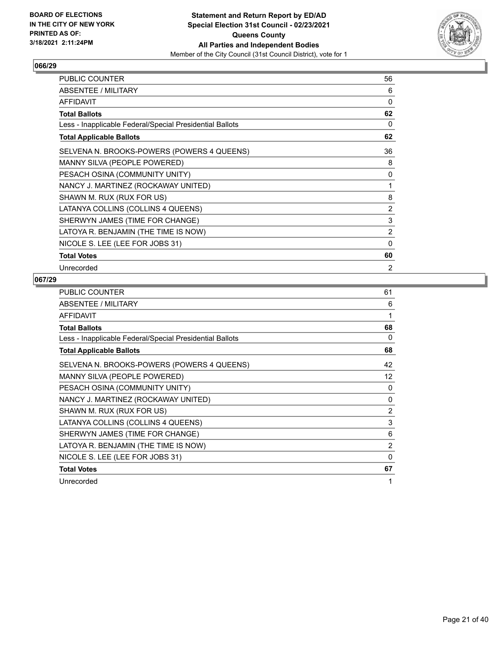

| PUBLIC COUNTER                                           | 56             |
|----------------------------------------------------------|----------------|
| ABSENTEE / MILITARY                                      | 6              |
| <b>AFFIDAVIT</b>                                         | 0              |
| <b>Total Ballots</b>                                     | 62             |
| Less - Inapplicable Federal/Special Presidential Ballots | 0              |
| <b>Total Applicable Ballots</b>                          | 62             |
| SELVENA N. BROOKS-POWERS (POWERS 4 QUEENS)               | 36             |
| MANNY SILVA (PEOPLE POWERED)                             | 8              |
| PESACH OSINA (COMMUNITY UNITY)                           | 0              |
| NANCY J. MARTINEZ (ROCKAWAY UNITED)                      | 1              |
| SHAWN M. RUX (RUX FOR US)                                | 8              |
| LATANYA COLLINS (COLLINS 4 QUEENS)                       | 2              |
| SHERWYN JAMES (TIME FOR CHANGE)                          | 3              |
| LATOYA R. BENJAMIN (THE TIME IS NOW)                     | $\overline{2}$ |
| NICOLE S. LEE (LEE FOR JOBS 31)                          | 0              |
| <b>Total Votes</b>                                       | 60             |
| Unrecorded                                               | 2              |

| PUBLIC COUNTER                                           | 61                |
|----------------------------------------------------------|-------------------|
| ABSENTEE / MILITARY                                      | 6                 |
| <b>AFFIDAVIT</b>                                         | 1                 |
| <b>Total Ballots</b>                                     | 68                |
| Less - Inapplicable Federal/Special Presidential Ballots | 0                 |
| <b>Total Applicable Ballots</b>                          | 68                |
| SELVENA N. BROOKS-POWERS (POWERS 4 QUEENS)               | 42                |
| MANNY SILVA (PEOPLE POWERED)                             | $12 \overline{ }$ |
| PESACH OSINA (COMMUNITY UNITY)                           | 0                 |
| NANCY J. MARTINEZ (ROCKAWAY UNITED)                      | 0                 |
| SHAWN M. RUX (RUX FOR US)                                | $\overline{2}$    |
| LATANYA COLLINS (COLLINS 4 QUEENS)                       | 3                 |
| SHERWYN JAMES (TIME FOR CHANGE)                          | 6                 |
| LATOYA R. BENJAMIN (THE TIME IS NOW)                     | $\overline{2}$    |
| NICOLE S. LEE (LEE FOR JOBS 31)                          | $\Omega$          |
| <b>Total Votes</b>                                       | 67                |
| Unrecorded                                               | 1                 |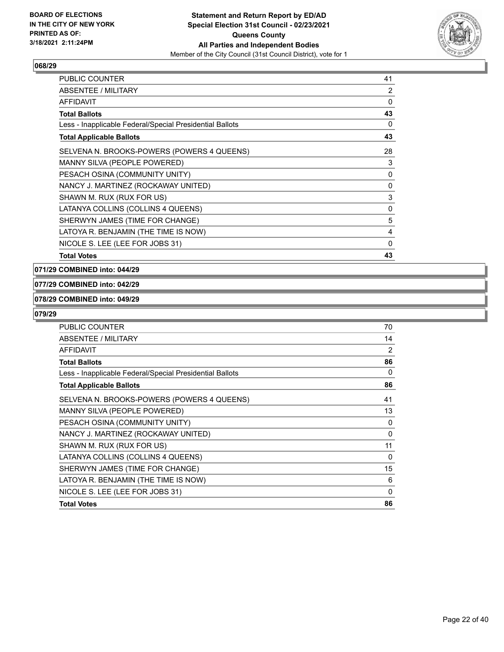

| <b>PUBLIC COUNTER</b>                                    | 41           |
|----------------------------------------------------------|--------------|
| ABSENTEE / MILITARY                                      | 2            |
| AFFIDAVIT                                                | 0            |
| <b>Total Ballots</b>                                     | 43           |
| Less - Inapplicable Federal/Special Presidential Ballots | 0            |
| <b>Total Applicable Ballots</b>                          | 43           |
| SELVENA N. BROOKS-POWERS (POWERS 4 QUEENS)               | 28           |
| <b>MANNY SILVA (PEOPLE POWERED)</b>                      | 3            |
| PESACH OSINA (COMMUNITY UNITY)                           | 0            |
| NANCY J. MARTINEZ (ROCKAWAY UNITED)                      | $\mathbf{0}$ |
| SHAWN M. RUX (RUX FOR US)                                | 3            |
| LATANYA COLLINS (COLLINS 4 QUEENS)                       | 0            |
| SHERWYN JAMES (TIME FOR CHANGE)                          | 5            |
| LATOYA R. BENJAMIN (THE TIME IS NOW)                     | 4            |
| NICOLE S. LEE (LEE FOR JOBS 31)                          | 0            |
| <b>Total Votes</b>                                       | 43           |

**071/29 COMBINED into: 044/29**

#### **077/29 COMBINED into: 042/29**

## **078/29 COMBINED into: 049/29**

| <b>PUBLIC COUNTER</b>                                    | 70             |
|----------------------------------------------------------|----------------|
| ABSENTEE / MILITARY                                      | 14             |
| <b>AFFIDAVIT</b>                                         | $\overline{2}$ |
| <b>Total Ballots</b>                                     | 86             |
| Less - Inapplicable Federal/Special Presidential Ballots | 0              |
| <b>Total Applicable Ballots</b>                          | 86             |
| SELVENA N. BROOKS-POWERS (POWERS 4 QUEENS)               | 41             |
| MANNY SILVA (PEOPLE POWERED)                             | 13             |
| PESACH OSINA (COMMUNITY UNITY)                           | 0              |
| NANCY J. MARTINEZ (ROCKAWAY UNITED)                      | 0              |
| SHAWN M. RUX (RUX FOR US)                                | 11             |
| LATANYA COLLINS (COLLINS 4 QUEENS)                       | 0              |
| SHERWYN JAMES (TIME FOR CHANGE)                          | 15             |
| LATOYA R. BENJAMIN (THE TIME IS NOW)                     | 6              |
| NICOLE S. LEE (LEE FOR JOBS 31)                          | $\mathbf{0}$   |
| <b>Total Votes</b>                                       | 86             |
|                                                          |                |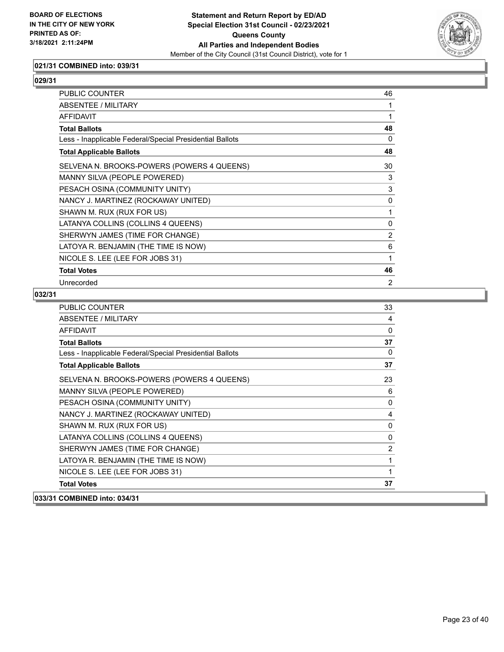

## **021/31 COMBINED into: 039/31**

#### **029/31**

| PUBLIC COUNTER                                           | 46             |
|----------------------------------------------------------|----------------|
| ABSENTEE / MILITARY                                      | 1              |
| <b>AFFIDAVIT</b>                                         | 1              |
| <b>Total Ballots</b>                                     | 48             |
| Less - Inapplicable Federal/Special Presidential Ballots | 0              |
| <b>Total Applicable Ballots</b>                          | 48             |
| SELVENA N. BROOKS-POWERS (POWERS 4 QUEENS)               | 30             |
| MANNY SILVA (PEOPLE POWERED)                             | 3              |
| PESACH OSINA (COMMUNITY UNITY)                           | 3              |
| NANCY J. MARTINEZ (ROCKAWAY UNITED)                      | 0              |
| SHAWN M. RUX (RUX FOR US)                                | 1              |
| LATANYA COLLINS (COLLINS 4 QUEENS)                       | 0              |
| SHERWYN JAMES (TIME FOR CHANGE)                          | $\overline{2}$ |
| LATOYA R. BENJAMIN (THE TIME IS NOW)                     | 6              |
| NICOLE S. LEE (LEE FOR JOBS 31)                          | 1              |
| <b>Total Votes</b>                                       | 46             |
| Unrecorded                                               | $\overline{2}$ |

| <b>PUBLIC COUNTER</b>                                    | 33             |
|----------------------------------------------------------|----------------|
| ABSENTEE / MILITARY                                      | 4              |
| <b>AFFIDAVIT</b>                                         | 0              |
| <b>Total Ballots</b>                                     | 37             |
| Less - Inapplicable Federal/Special Presidential Ballots | $\mathbf{0}$   |
| <b>Total Applicable Ballots</b>                          | 37             |
| SELVENA N. BROOKS-POWERS (POWERS 4 QUEENS)               | 23             |
| MANNY SILVA (PEOPLE POWERED)                             | 6              |
| PESACH OSINA (COMMUNITY UNITY)                           | 0              |
| NANCY J. MARTINEZ (ROCKAWAY UNITED)                      | 4              |
| SHAWN M. RUX (RUX FOR US)                                | $\mathbf 0$    |
| LATANYA COLLINS (COLLINS 4 QUEENS)                       | 0              |
| SHERWYN JAMES (TIME FOR CHANGE)                          | $\overline{2}$ |
| LATOYA R. BENJAMIN (THE TIME IS NOW)                     | 1              |
| NICOLE S. LEE (LEE FOR JOBS 31)                          | 1              |
| <b>Total Votes</b>                                       | 37             |
| 033/31 COMBINED into: 034/31                             |                |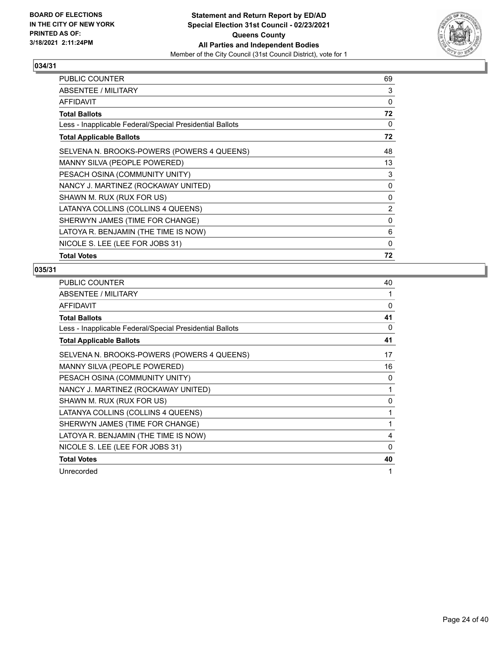

| PUBLIC COUNTER                                           | 69             |
|----------------------------------------------------------|----------------|
| ABSENTEE / MILITARY                                      | 3              |
| AFFIDAVIT                                                | 0              |
| <b>Total Ballots</b>                                     | 72             |
| Less - Inapplicable Federal/Special Presidential Ballots | 0              |
| <b>Total Applicable Ballots</b>                          | 72             |
| SELVENA N. BROOKS-POWERS (POWERS 4 QUEENS)               | 48             |
| MANNY SILVA (PEOPLE POWERED)                             | 13             |
| PESACH OSINA (COMMUNITY UNITY)                           | 3              |
| NANCY J. MARTINEZ (ROCKAWAY UNITED)                      | 0              |
| SHAWN M. RUX (RUX FOR US)                                | 0              |
| LATANYA COLLINS (COLLINS 4 QUEENS)                       | $\overline{2}$ |
| SHERWYN JAMES (TIME FOR CHANGE)                          | 0              |
| LATOYA R. BENJAMIN (THE TIME IS NOW)                     | 6              |
| NICOLE S. LEE (LEE FOR JOBS 31)                          | $\Omega$       |
| <b>Total Votes</b>                                       | 72             |

| <b>PUBLIC COUNTER</b>                                    | 40           |
|----------------------------------------------------------|--------------|
| ABSENTEE / MILITARY                                      | 1            |
| <b>AFFIDAVIT</b>                                         | $\mathbf{0}$ |
| <b>Total Ballots</b>                                     | 41           |
| Less - Inapplicable Federal/Special Presidential Ballots | 0            |
| <b>Total Applicable Ballots</b>                          | 41           |
| SELVENA N. BROOKS-POWERS (POWERS 4 QUEENS)               | 17           |
| MANNY SILVA (PEOPLE POWERED)                             | 16           |
| PESACH OSINA (COMMUNITY UNITY)                           | 0            |
| NANCY J. MARTINEZ (ROCKAWAY UNITED)                      | 1            |
| SHAWN M. RUX (RUX FOR US)                                | 0            |
| LATANYA COLLINS (COLLINS 4 QUEENS)                       | 1            |
| SHERWYN JAMES (TIME FOR CHANGE)                          | 1            |
| LATOYA R. BENJAMIN (THE TIME IS NOW)                     | 4            |
| NICOLE S. LEE (LEE FOR JOBS 31)                          | 0            |
| <b>Total Votes</b>                                       | 40           |
| Unrecorded                                               | 1            |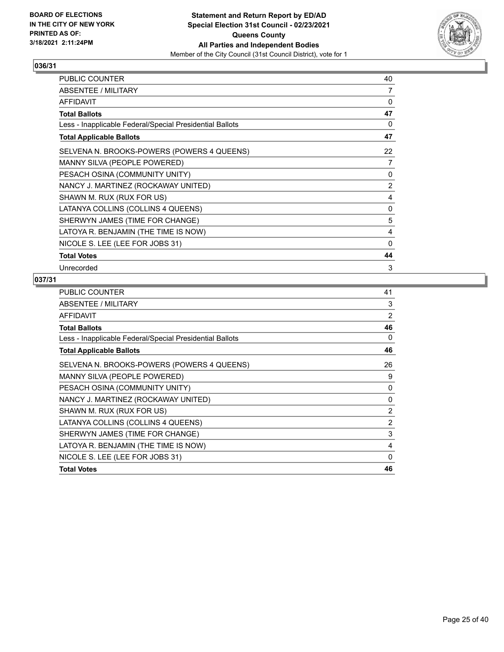

| PUBLIC COUNTER                                           | 40 |
|----------------------------------------------------------|----|
| <b>ABSENTEE / MILITARY</b>                               | 7  |
| AFFIDAVIT                                                | 0  |
| <b>Total Ballots</b>                                     | 47 |
| Less - Inapplicable Federal/Special Presidential Ballots | 0  |
| <b>Total Applicable Ballots</b>                          | 47 |
| SELVENA N. BROOKS-POWERS (POWERS 4 QUEENS)               | 22 |
| MANNY SILVA (PEOPLE POWERED)                             | 7  |
| PESACH OSINA (COMMUNITY UNITY)                           | 0  |
| NANCY J. MARTINEZ (ROCKAWAY UNITED)                      | 2  |
| SHAWN M. RUX (RUX FOR US)                                | 4  |
| LATANYA COLLINS (COLLINS 4 QUEENS)                       | 0  |
| SHERWYN JAMES (TIME FOR CHANGE)                          | 5  |
| LATOYA R. BENJAMIN (THE TIME IS NOW)                     | 4  |
| NICOLE S. LEE (LEE FOR JOBS 31)                          | 0  |
| <b>Total Votes</b>                                       | 44 |
| Unrecorded                                               | 3  |

| 41             |
|----------------|
| 3              |
| 2              |
| 46             |
| 0              |
| 46             |
| 26             |
| 9              |
| 0              |
| 0              |
| $\overline{2}$ |
| $\overline{2}$ |
| 3              |
| 4              |
| 0              |
| 46             |
|                |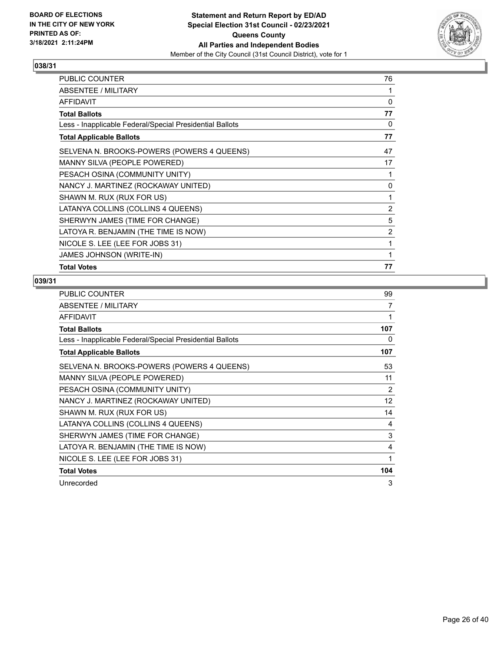

| PUBLIC COUNTER                                           | 76 |
|----------------------------------------------------------|----|
| ABSENTEE / MILITARY                                      | 1  |
| AFFIDAVIT                                                | 0  |
| Total Ballots                                            | 77 |
| Less - Inapplicable Federal/Special Presidential Ballots | 0  |
| <b>Total Applicable Ballots</b>                          | 77 |
| SELVENA N. BROOKS-POWERS (POWERS 4 QUEENS)               | 47 |
| MANNY SILVA (PEOPLE POWERED)                             | 17 |
| PESACH OSINA (COMMUNITY UNITY)                           | 1  |
| NANCY J. MARTINEZ (ROCKAWAY UNITED)                      | 0  |
| SHAWN M. RUX (RUX FOR US)                                | 1  |
| LATANYA COLLINS (COLLINS 4 QUEENS)                       | 2  |
| SHERWYN JAMES (TIME FOR CHANGE)                          | 5  |
| LATOYA R. BENJAMIN (THE TIME IS NOW)                     | 2  |
| NICOLE S. LEE (LEE FOR JOBS 31)                          | 1  |
| JAMES JOHNSON (WRITE-IN)                                 | 1  |
| <b>Total Votes</b>                                       | 77 |

| PUBLIC COUNTER                                           | 99  |
|----------------------------------------------------------|-----|
| ABSENTEE / MILITARY                                      | 7   |
| <b>AFFIDAVIT</b>                                         | 1   |
| <b>Total Ballots</b>                                     | 107 |
| Less - Inapplicable Federal/Special Presidential Ballots | 0   |
| <b>Total Applicable Ballots</b>                          | 107 |
| SELVENA N. BROOKS-POWERS (POWERS 4 QUEENS)               | 53  |
| MANNY SILVA (PEOPLE POWERED)                             | 11  |
| PESACH OSINA (COMMUNITY UNITY)                           | 2   |
| NANCY J. MARTINEZ (ROCKAWAY UNITED)                      | 12  |
| SHAWN M. RUX (RUX FOR US)                                | 14  |
| LATANYA COLLINS (COLLINS 4 QUEENS)                       | 4   |
| SHERWYN JAMES (TIME FOR CHANGE)                          | 3   |
| LATOYA R. BENJAMIN (THE TIME IS NOW)                     | 4   |
| NICOLE S. LEE (LEE FOR JOBS 31)                          | 1   |
| <b>Total Votes</b>                                       | 104 |
| Unrecorded                                               | 3   |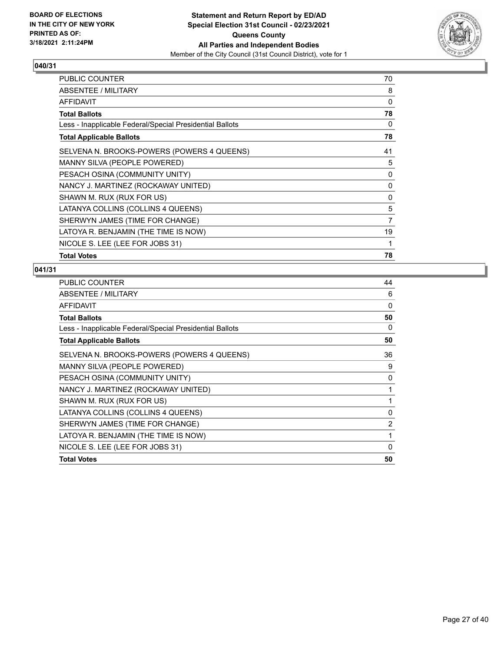

| PUBLIC COUNTER                                           | 70 |
|----------------------------------------------------------|----|
| ABSENTEE / MILITARY                                      | 8  |
| AFFIDAVIT                                                | 0  |
| Total Ballots                                            | 78 |
| Less - Inapplicable Federal/Special Presidential Ballots | 0  |
| <b>Total Applicable Ballots</b>                          | 78 |
| SELVENA N. BROOKS-POWERS (POWERS 4 QUEENS)               | 41 |
| MANNY SILVA (PEOPLE POWERED)                             | 5  |
| PESACH OSINA (COMMUNITY UNITY)                           | 0  |
| NANCY J. MARTINEZ (ROCKAWAY UNITED)                      | 0  |
| SHAWN M. RUX (RUX FOR US)                                | 0  |
| LATANYA COLLINS (COLLINS 4 QUEENS)                       | 5  |
| SHERWYN JAMES (TIME FOR CHANGE)                          | 7  |
| LATOYA R. BENJAMIN (THE TIME IS NOW)                     | 19 |
| NICOLE S. LEE (LEE FOR JOBS 31)                          | 1  |
| <b>Total Votes</b>                                       | 78 |

| 44             |
|----------------|
| 6              |
| $\Omega$       |
| 50             |
| 0              |
| 50             |
| 36             |
| 9              |
| 0              |
| 1              |
| 1              |
| 0              |
| $\overline{c}$ |
| 1              |
| $\Omega$       |
| 50             |
|                |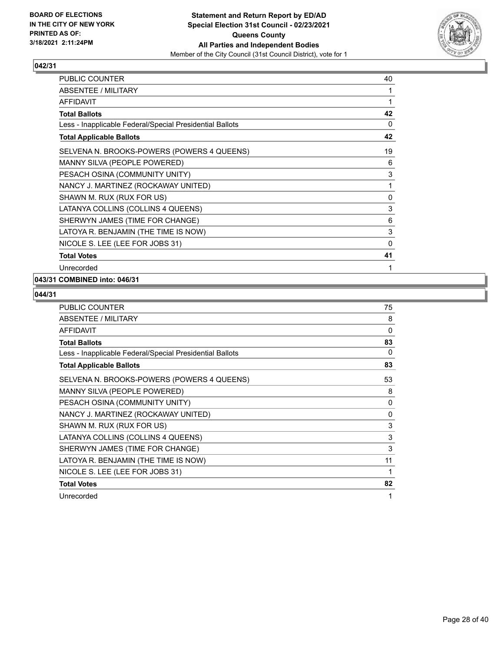

| PUBLIC COUNTER                                           | 40 |
|----------------------------------------------------------|----|
| ABSENTEE / MILITARY                                      | 1  |
| <b>AFFIDAVIT</b>                                         | 1  |
| <b>Total Ballots</b>                                     | 42 |
| Less - Inapplicable Federal/Special Presidential Ballots | 0  |
| <b>Total Applicable Ballots</b>                          | 42 |
| SELVENA N. BROOKS-POWERS (POWERS 4 QUEENS)               | 19 |
| MANNY SILVA (PEOPLE POWERED)                             | 6  |
| PESACH OSINA (COMMUNITY UNITY)                           | 3  |
| NANCY J. MARTINEZ (ROCKAWAY UNITED)                      | 1  |
| SHAWN M. RUX (RUX FOR US)                                | 0  |
| LATANYA COLLINS (COLLINS 4 QUEENS)                       | 3  |
| SHERWYN JAMES (TIME FOR CHANGE)                          | 6  |
| LATOYA R. BENJAMIN (THE TIME IS NOW)                     | 3  |
| NICOLE S. LEE (LEE FOR JOBS 31)                          | 0  |
| <b>Total Votes</b>                                       | 41 |
| Unrecorded                                               | 1  |

## **043/31 COMBINED into: 046/31**

| <b>PUBLIC COUNTER</b>                                    | 75 |
|----------------------------------------------------------|----|
| ABSENTEE / MILITARY                                      | 8  |
| <b>AFFIDAVIT</b>                                         | 0  |
| <b>Total Ballots</b>                                     | 83 |
| Less - Inapplicable Federal/Special Presidential Ballots | 0  |
| <b>Total Applicable Ballots</b>                          | 83 |
| SELVENA N. BROOKS-POWERS (POWERS 4 QUEENS)               | 53 |
| MANNY SILVA (PEOPLE POWERED)                             | 8  |
| PESACH OSINA (COMMUNITY UNITY)                           | 0  |
| NANCY J. MARTINEZ (ROCKAWAY UNITED)                      | 0  |
| SHAWN M. RUX (RUX FOR US)                                | 3  |
| LATANYA COLLINS (COLLINS 4 QUEENS)                       | 3  |
| SHERWYN JAMES (TIME FOR CHANGE)                          | 3  |
| LATOYA R. BENJAMIN (THE TIME IS NOW)                     | 11 |
| NICOLE S. LEE (LEE FOR JOBS 31)                          | 1  |
| <b>Total Votes</b>                                       | 82 |
| Unrecorded                                               | 1  |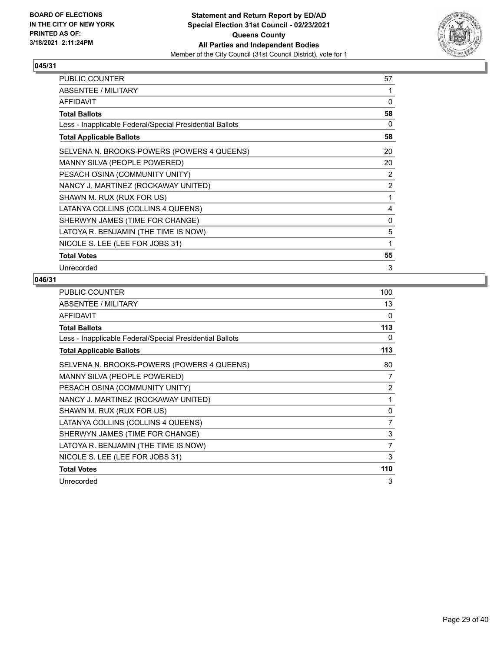

| PUBLIC COUNTER                                           | 57 |
|----------------------------------------------------------|----|
| ABSENTEE / MILITARY                                      | 1  |
| AFFIDAVIT                                                | 0  |
| <b>Total Ballots</b>                                     | 58 |
| Less - Inapplicable Federal/Special Presidential Ballots | 0  |
| <b>Total Applicable Ballots</b>                          | 58 |
| SELVENA N. BROOKS-POWERS (POWERS 4 QUEENS)               | 20 |
| MANNY SILVA (PEOPLE POWERED)                             | 20 |
| PESACH OSINA (COMMUNITY UNITY)                           | 2  |
| NANCY J. MARTINEZ (ROCKAWAY UNITED)                      | 2  |
| SHAWN M. RUX (RUX FOR US)                                | 1  |
| LATANYA COLLINS (COLLINS 4 QUEENS)                       | 4  |
| SHERWYN JAMES (TIME FOR CHANGE)                          | 0  |
| LATOYA R. BENJAMIN (THE TIME IS NOW)                     | 5  |
| NICOLE S. LEE (LEE FOR JOBS 31)                          | 1  |
| <b>Total Votes</b>                                       | 55 |
| Unrecorded                                               | 3  |

| PUBLIC COUNTER                                           | 100            |
|----------------------------------------------------------|----------------|
| ABSENTEE / MILITARY                                      | 13             |
| AFFIDAVIT                                                | $\Omega$       |
| <b>Total Ballots</b>                                     | 113            |
| Less - Inapplicable Federal/Special Presidential Ballots | 0              |
| <b>Total Applicable Ballots</b>                          | 113            |
| SELVENA N. BROOKS-POWERS (POWERS 4 QUEENS)               | 80             |
| MANNY SILVA (PEOPLE POWERED)                             | 7              |
| PESACH OSINA (COMMUNITY UNITY)                           | 2              |
| NANCY J. MARTINEZ (ROCKAWAY UNITED)                      | 1              |
| SHAWN M. RUX (RUX FOR US)                                | 0              |
| LATANYA COLLINS (COLLINS 4 QUEENS)                       | 7              |
| SHERWYN JAMES (TIME FOR CHANGE)                          | 3              |
| LATOYA R. BENJAMIN (THE TIME IS NOW)                     | $\overline{7}$ |
| NICOLE S. LEE (LEE FOR JOBS 31)                          | 3              |
| <b>Total Votes</b>                                       | 110            |
| Unrecorded                                               | 3              |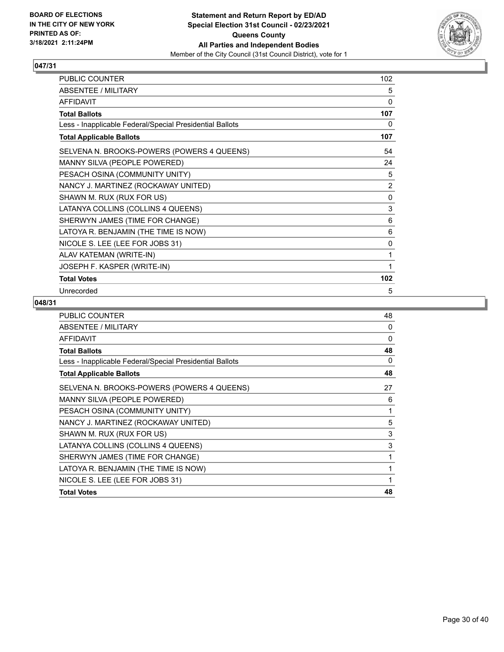

| PUBLIC COUNTER                                           | 102            |
|----------------------------------------------------------|----------------|
| <b>ABSENTEE / MILITARY</b>                               | 5              |
| <b>AFFIDAVIT</b>                                         | 0              |
| <b>Total Ballots</b>                                     | 107            |
| Less - Inapplicable Federal/Special Presidential Ballots | 0              |
| <b>Total Applicable Ballots</b>                          | 107            |
| SELVENA N. BROOKS-POWERS (POWERS 4 QUEENS)               | 54             |
| MANNY SILVA (PEOPLE POWERED)                             | 24             |
| PESACH OSINA (COMMUNITY UNITY)                           | 5              |
| NANCY J. MARTINEZ (ROCKAWAY UNITED)                      | $\overline{2}$ |
| SHAWN M. RUX (RUX FOR US)                                | $\mathbf 0$    |
| LATANYA COLLINS (COLLINS 4 QUEENS)                       | 3              |
| SHERWYN JAMES (TIME FOR CHANGE)                          | 6              |
| LATOYA R. BENJAMIN (THE TIME IS NOW)                     | 6              |
| NICOLE S. LEE (LEE FOR JOBS 31)                          | 0              |
| ALAV KATEMAN (WRITE-IN)                                  | 1              |
| JOSEPH F. KASPER (WRITE-IN)                              | 1              |
| <b>Total Votes</b>                                       | 102            |
| Unrecorded                                               | 5              |

| PUBLIC COUNTER                                           | 48 |
|----------------------------------------------------------|----|
| <b>ABSENTEE / MILITARY</b>                               | 0  |
| <b>AFFIDAVIT</b>                                         | 0  |
| <b>Total Ballots</b>                                     | 48 |
| Less - Inapplicable Federal/Special Presidential Ballots | 0  |
| <b>Total Applicable Ballots</b>                          | 48 |
| SELVENA N. BROOKS-POWERS (POWERS 4 QUEENS)               | 27 |
| MANNY SILVA (PEOPLE POWERED)                             | 6  |
| PESACH OSINA (COMMUNITY UNITY)                           | 1  |
| NANCY J. MARTINEZ (ROCKAWAY UNITED)                      | 5  |
| SHAWN M. RUX (RUX FOR US)                                | 3  |
| LATANYA COLLINS (COLLINS 4 QUEENS)                       | 3  |
| SHERWYN JAMES (TIME FOR CHANGE)                          | 1  |
| LATOYA R. BENJAMIN (THE TIME IS NOW)                     | 1  |
| NICOLE S. LEE (LEE FOR JOBS 31)                          | 1  |
| <b>Total Votes</b>                                       | 48 |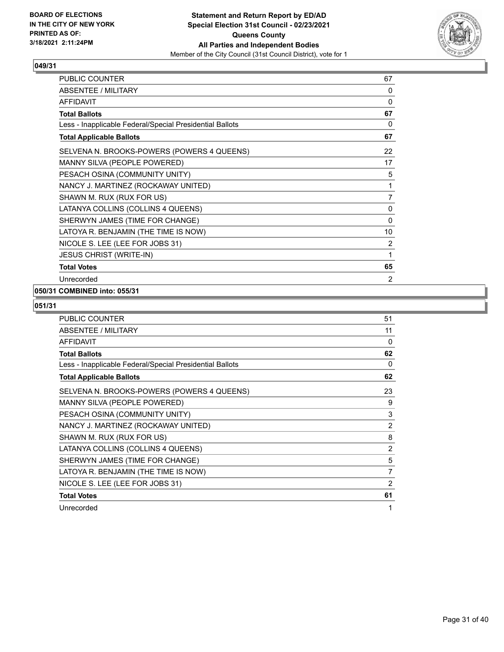

| PUBLIC COUNTER                                           | 67             |
|----------------------------------------------------------|----------------|
| ABSENTEE / MILITARY                                      | 0              |
| <b>AFFIDAVIT</b>                                         | 0              |
| <b>Total Ballots</b>                                     | 67             |
| Less - Inapplicable Federal/Special Presidential Ballots | 0              |
| <b>Total Applicable Ballots</b>                          | 67             |
| SELVENA N. BROOKS-POWERS (POWERS 4 QUEENS)               | 22             |
| MANNY SILVA (PEOPLE POWERED)                             | 17             |
| PESACH OSINA (COMMUNITY UNITY)                           | 5              |
| NANCY J. MARTINEZ (ROCKAWAY UNITED)                      | 1              |
| SHAWN M. RUX (RUX FOR US)                                | $\overline{7}$ |
| LATANYA COLLINS (COLLINS 4 QUEENS)                       | 0              |
| SHERWYN JAMES (TIME FOR CHANGE)                          | 0              |
| LATOYA R. BENJAMIN (THE TIME IS NOW)                     | 10             |
| NICOLE S. LEE (LEE FOR JOBS 31)                          | 2              |
| <b>JESUS CHRIST (WRITE-IN)</b>                           | 1              |
| <b>Total Votes</b>                                       | 65             |
| Unrecorded                                               | $\overline{2}$ |

## **050/31 COMBINED into: 055/31**

| PUBLIC COUNTER                                           | 51             |
|----------------------------------------------------------|----------------|
| ABSENTEE / MILITARY                                      | 11             |
| <b>AFFIDAVIT</b>                                         | 0              |
| <b>Total Ballots</b>                                     | 62             |
| Less - Inapplicable Federal/Special Presidential Ballots | 0              |
| <b>Total Applicable Ballots</b>                          | 62             |
| SELVENA N. BROOKS-POWERS (POWERS 4 QUEENS)               | 23             |
| MANNY SILVA (PEOPLE POWERED)                             | 9              |
| PESACH OSINA (COMMUNITY UNITY)                           | 3              |
| NANCY J. MARTINEZ (ROCKAWAY UNITED)                      | 2              |
| SHAWN M. RUX (RUX FOR US)                                | 8              |
| LATANYA COLLINS (COLLINS 4 QUEENS)                       | $\overline{c}$ |
| SHERWYN JAMES (TIME FOR CHANGE)                          | 5              |
| LATOYA R. BENJAMIN (THE TIME IS NOW)                     | 7              |
| NICOLE S. LEE (LEE FOR JOBS 31)                          | $\mathfrak{p}$ |
| <b>Total Votes</b>                                       | 61             |
| Unrecorded                                               | 1              |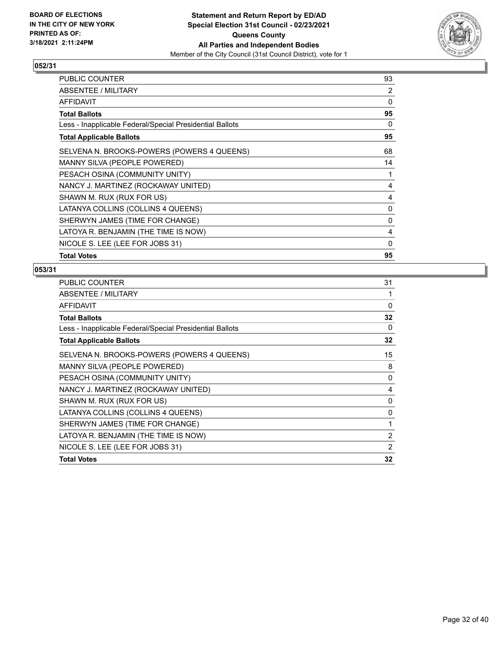

| PUBLIC COUNTER                                           | 93       |
|----------------------------------------------------------|----------|
| ABSENTEE / MILITARY                                      | 2        |
| <b>AFFIDAVIT</b>                                         | 0        |
| <b>Total Ballots</b>                                     | 95       |
| Less - Inapplicable Federal/Special Presidential Ballots | $\Omega$ |
| <b>Total Applicable Ballots</b>                          | 95       |
| SELVENA N. BROOKS-POWERS (POWERS 4 QUEENS)               | 68       |
| MANNY SILVA (PEOPLE POWERED)                             | 14       |
| PESACH OSINA (COMMUNITY UNITY)                           | 1        |
| NANCY J. MARTINEZ (ROCKAWAY UNITED)                      | 4        |
| SHAWN M. RUX (RUX FOR US)                                | 4        |
| LATANYA COLLINS (COLLINS 4 QUEENS)                       | 0        |
| SHERWYN JAMES (TIME FOR CHANGE)                          | 0        |
| LATOYA R. BENJAMIN (THE TIME IS NOW)                     | 4        |
| NICOLE S. LEE (LEE FOR JOBS 31)                          | 0        |
| <b>Total Votes</b>                                       | 95       |

| 31             |
|----------------|
| 1              |
| 0              |
| 32             |
| 0              |
| 32             |
| 15             |
| 8              |
| 0              |
| 4              |
| 0              |
| 0              |
| 1              |
| $\overline{2}$ |
| 2              |
| 32             |
|                |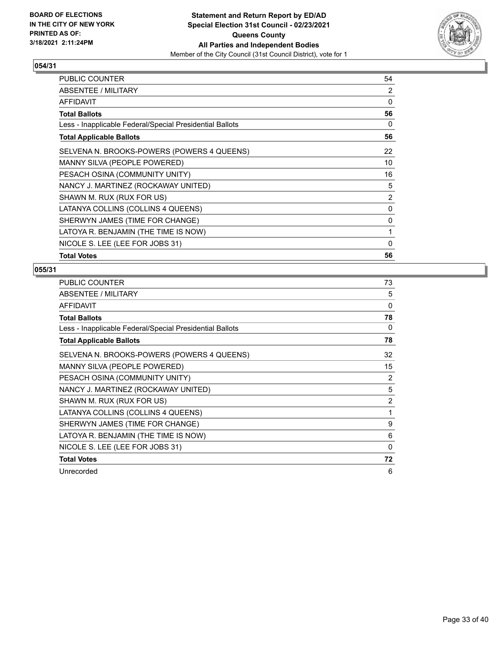

| PUBLIC COUNTER                                           | 54             |
|----------------------------------------------------------|----------------|
| ABSENTEE / MILITARY                                      | 2              |
| AFFIDAVIT                                                | 0              |
| <b>Total Ballots</b>                                     | 56             |
| Less - Inapplicable Federal/Special Presidential Ballots | 0              |
| <b>Total Applicable Ballots</b>                          | 56             |
| SELVENA N. BROOKS-POWERS (POWERS 4 QUEENS)               | 22             |
| MANNY SILVA (PEOPLE POWERED)                             | 10             |
| PESACH OSINA (COMMUNITY UNITY)                           | 16             |
| NANCY J. MARTINEZ (ROCKAWAY UNITED)                      | 5              |
| SHAWN M. RUX (RUX FOR US)                                | $\overline{2}$ |
| LATANYA COLLINS (COLLINS 4 QUEENS)                       | $\Omega$       |
| SHERWYN JAMES (TIME FOR CHANGE)                          | 0              |
| LATOYA R. BENJAMIN (THE TIME IS NOW)                     | 1              |
| NICOLE S. LEE (LEE FOR JOBS 31)                          | $\Omega$       |
| <b>Total Votes</b>                                       | 56             |

| PUBLIC COUNTER                                           | 73             |
|----------------------------------------------------------|----------------|
| ABSENTEE / MILITARY                                      | 5              |
| <b>AFFIDAVIT</b>                                         | $\Omega$       |
| <b>Total Ballots</b>                                     | 78             |
| Less - Inapplicable Federal/Special Presidential Ballots | 0              |
| <b>Total Applicable Ballots</b>                          | 78             |
| SELVENA N. BROOKS-POWERS (POWERS 4 QUEENS)               | 32             |
| MANNY SILVA (PEOPLE POWERED)                             | 15             |
| PESACH OSINA (COMMUNITY UNITY)                           | $\overline{2}$ |
| NANCY J. MARTINEZ (ROCKAWAY UNITED)                      | 5              |
| SHAWN M. RUX (RUX FOR US)                                | $\overline{2}$ |
| LATANYA COLLINS (COLLINS 4 QUEENS)                       | 1              |
| SHERWYN JAMES (TIME FOR CHANGE)                          | 9              |
| LATOYA R. BENJAMIN (THE TIME IS NOW)                     | 6              |
| NICOLE S. LEE (LEE FOR JOBS 31)                          | $\Omega$       |
| <b>Total Votes</b>                                       | 72             |
| Unrecorded                                               | 6              |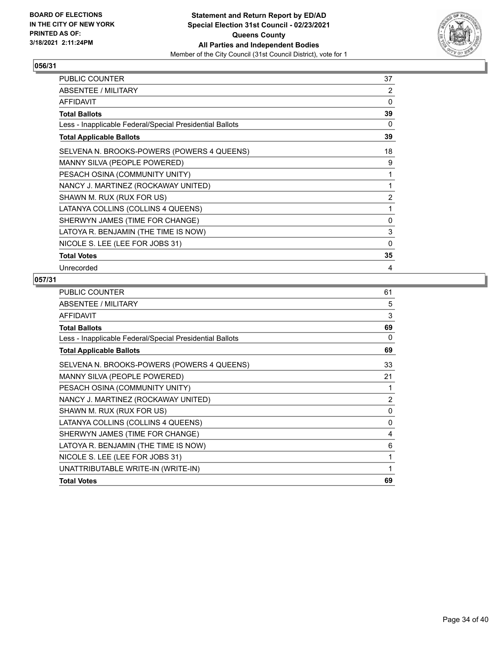

| PUBLIC COUNTER                                           | 37 |
|----------------------------------------------------------|----|
| ABSENTEE / MILITARY                                      | 2  |
| AFFIDAVIT                                                | 0  |
| <b>Total Ballots</b>                                     | 39 |
| Less - Inapplicable Federal/Special Presidential Ballots | 0  |
| <b>Total Applicable Ballots</b>                          | 39 |
| SELVENA N. BROOKS-POWERS (POWERS 4 QUEENS)               | 18 |
| MANNY SILVA (PEOPLE POWERED)                             | 9  |
| PESACH OSINA (COMMUNITY UNITY)                           | 1  |
| NANCY J. MARTINEZ (ROCKAWAY UNITED)                      | 1  |
| SHAWN M. RUX (RUX FOR US)                                | 2  |
| LATANYA COLLINS (COLLINS 4 QUEENS)                       | 1  |
| SHERWYN JAMES (TIME FOR CHANGE)                          | 0  |
| LATOYA R. BENJAMIN (THE TIME IS NOW)                     | 3  |
| NICOLE S. LEE (LEE FOR JOBS 31)                          | 0  |
| <b>Total Votes</b>                                       | 35 |
| Unrecorded                                               | 4  |

| PUBLIC COUNTER                                           | 61             |
|----------------------------------------------------------|----------------|
| ABSENTEE / MILITARY                                      | 5              |
| <b>AFFIDAVIT</b>                                         | 3              |
| <b>Total Ballots</b>                                     | 69             |
| Less - Inapplicable Federal/Special Presidential Ballots | 0              |
| <b>Total Applicable Ballots</b>                          | 69             |
| SELVENA N. BROOKS-POWERS (POWERS 4 QUEENS)               | 33             |
| MANNY SILVA (PEOPLE POWERED)                             | 21             |
| PESACH OSINA (COMMUNITY UNITY)                           | 1              |
| NANCY J. MARTINEZ (ROCKAWAY UNITED)                      | $\overline{c}$ |
| SHAWN M. RUX (RUX FOR US)                                | $\mathbf{0}$   |
| LATANYA COLLINS (COLLINS 4 QUEENS)                       | 0              |
| SHERWYN JAMES (TIME FOR CHANGE)                          | 4              |
| LATOYA R. BENJAMIN (THE TIME IS NOW)                     | 6              |
| NICOLE S. LEE (LEE FOR JOBS 31)                          | 1              |
| UNATTRIBUTABLE WRITE-IN (WRITE-IN)                       | 1              |
| <b>Total Votes</b>                                       | 69             |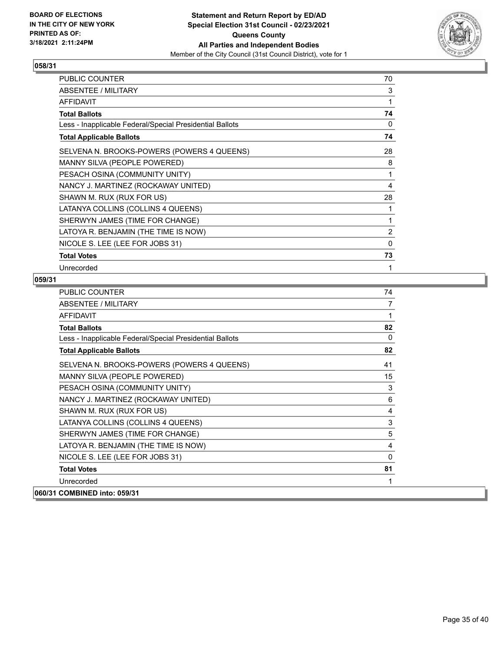

| PUBLIC COUNTER                                           | 70 |
|----------------------------------------------------------|----|
| ABSENTEE / MILITARY                                      | 3  |
| AFFIDAVIT                                                | 1  |
| <b>Total Ballots</b>                                     | 74 |
| Less - Inapplicable Federal/Special Presidential Ballots | 0  |
| <b>Total Applicable Ballots</b>                          | 74 |
| SELVENA N. BROOKS-POWERS (POWERS 4 QUEENS)               | 28 |
| MANNY SILVA (PEOPLE POWERED)                             | 8  |
| PESACH OSINA (COMMUNITY UNITY)                           | 1  |
| NANCY J. MARTINEZ (ROCKAWAY UNITED)                      | 4  |
| SHAWN M. RUX (RUX FOR US)                                | 28 |
| LATANYA COLLINS (COLLINS 4 QUEENS)                       | 1  |
| SHERWYN JAMES (TIME FOR CHANGE)                          | 1  |
| LATOYA R. BENJAMIN (THE TIME IS NOW)                     | 2  |
| NICOLE S. LEE (LEE FOR JOBS 31)                          | 0  |
| <b>Total Votes</b>                                       | 73 |
| Unrecorded                                               | 1  |

| <b>PUBLIC COUNTER</b>                                    | 74       |
|----------------------------------------------------------|----------|
| <b>ABSENTEE / MILITARY</b>                               | 7        |
| <b>AFFIDAVIT</b>                                         | 1        |
| <b>Total Ballots</b>                                     | 82       |
| Less - Inapplicable Federal/Special Presidential Ballots | $\Omega$ |
| <b>Total Applicable Ballots</b>                          | 82       |
| SELVENA N. BROOKS-POWERS (POWERS 4 QUEENS)               | 41       |
| MANNY SILVA (PEOPLE POWERED)                             | 15       |
| PESACH OSINA (COMMUNITY UNITY)                           | 3        |
| NANCY J. MARTINEZ (ROCKAWAY UNITED)                      | 6        |
| SHAWN M. RUX (RUX FOR US)                                | 4        |
| LATANYA COLLINS (COLLINS 4 QUEENS)                       | 3        |
| SHERWYN JAMES (TIME FOR CHANGE)                          | 5        |
| LATOYA R. BENJAMIN (THE TIME IS NOW)                     | 4        |
| NICOLE S. LEE (LEE FOR JOBS 31)                          | $\Omega$ |
| <b>Total Votes</b>                                       | 81       |
| Unrecorded                                               | 1        |
| 060/31 COMBINED into: 059/31                             |          |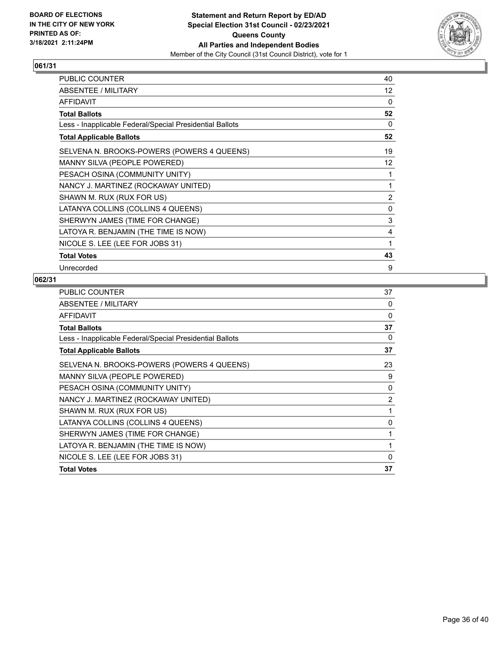

| PUBLIC COUNTER                                           | 40                |
|----------------------------------------------------------|-------------------|
| ABSENTEE / MILITARY                                      | 12                |
| <b>AFFIDAVIT</b>                                         | $\Omega$          |
| <b>Total Ballots</b>                                     | 52                |
| Less - Inapplicable Federal/Special Presidential Ballots | 0                 |
| <b>Total Applicable Ballots</b>                          | 52                |
| SELVENA N. BROOKS-POWERS (POWERS 4 QUEENS)               | 19                |
| MANNY SILVA (PEOPLE POWERED)                             | $12 \overline{ }$ |
| PESACH OSINA (COMMUNITY UNITY)                           | 1                 |
| NANCY J. MARTINEZ (ROCKAWAY UNITED)                      | 1                 |
| SHAWN M. RUX (RUX FOR US)                                | 2                 |
| LATANYA COLLINS (COLLINS 4 QUEENS)                       | 0                 |
| SHERWYN JAMES (TIME FOR CHANGE)                          | 3                 |
| LATOYA R. BENJAMIN (THE TIME IS NOW)                     | 4                 |
| NICOLE S. LEE (LEE FOR JOBS 31)                          | 1                 |
| <b>Total Votes</b>                                       | 43                |
| Unrecorded                                               | 9                 |

| 37             |
|----------------|
| $\Omega$       |
| 0              |
| 37             |
| 0              |
| 37             |
| 23             |
| 9              |
| 0              |
| $\overline{2}$ |
| 1              |
| 0              |
| 1              |
| 1              |
| $\Omega$       |
| 37             |
|                |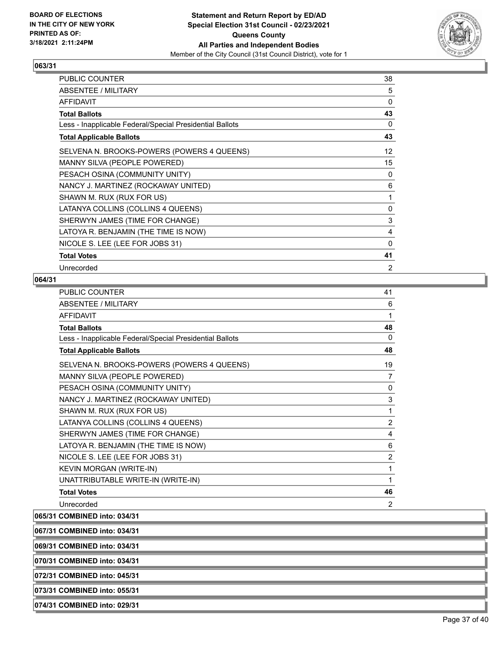

| PUBLIC COUNTER                                           | 38             |
|----------------------------------------------------------|----------------|
| ABSENTEE / MILITARY                                      | 5              |
| <b>AFFIDAVIT</b>                                         | $\Omega$       |
| Total Ballots                                            | 43             |
| Less - Inapplicable Federal/Special Presidential Ballots | 0              |
| <b>Total Applicable Ballots</b>                          | 43             |
| SELVENA N. BROOKS-POWERS (POWERS 4 QUEENS)               | 12             |
| MANNY SILVA (PEOPLE POWERED)                             | 15             |
| PESACH OSINA (COMMUNITY UNITY)                           | 0              |
| NANCY J. MARTINEZ (ROCKAWAY UNITED)                      | 6              |
| SHAWN M. RUX (RUX FOR US)                                | 1              |
| LATANYA COLLINS (COLLINS 4 QUEENS)                       | 0              |
| SHERWYN JAMES (TIME FOR CHANGE)                          | 3              |
| LATOYA R. BENJAMIN (THE TIME IS NOW)                     | 4              |
| NICOLE S. LEE (LEE FOR JOBS 31)                          | $\Omega$       |
| <b>Total Votes</b>                                       | 41             |
| Unrecorded                                               | $\overline{2}$ |

#### **064/31**

| PUBLIC COUNTER                                           | 41             |
|----------------------------------------------------------|----------------|
| <b>ABSENTEE / MILITARY</b>                               | 6              |
| <b>AFFIDAVIT</b>                                         | 1              |
| <b>Total Ballots</b>                                     | 48             |
| Less - Inapplicable Federal/Special Presidential Ballots | 0              |
| <b>Total Applicable Ballots</b>                          | 48             |
| SELVENA N. BROOKS-POWERS (POWERS 4 QUEENS)               | 19             |
| MANNY SILVA (PEOPLE POWERED)                             | 7              |
| PESACH OSINA (COMMUNITY UNITY)                           | 0              |
| NANCY J. MARTINEZ (ROCKAWAY UNITED)                      | 3              |
| SHAWN M. RUX (RUX FOR US)                                | $\mathbf{1}$   |
| LATANYA COLLINS (COLLINS 4 QUEENS)                       | $\overline{2}$ |
| SHERWYN JAMES (TIME FOR CHANGE)                          | 4              |
| LATOYA R. BENJAMIN (THE TIME IS NOW)                     | 6              |
| NICOLE S. LEE (LEE FOR JOBS 31)                          | $\overline{2}$ |
| KEVIN MORGAN (WRITE-IN)                                  | 1              |
| UNATTRIBUTABLE WRITE-IN (WRITE-IN)                       | 1              |
| <b>Total Votes</b>                                       | 46             |
| Unrecorded                                               | $\overline{2}$ |

**065/31 COMBINED into: 034/31**

**067/31 COMBINED into: 034/31**

**069/31 COMBINED into: 034/31**

**070/31 COMBINED into: 034/31**

**072/31 COMBINED into: 045/31**

**073/31 COMBINED into: 055/31**

**074/31 COMBINED into: 029/31**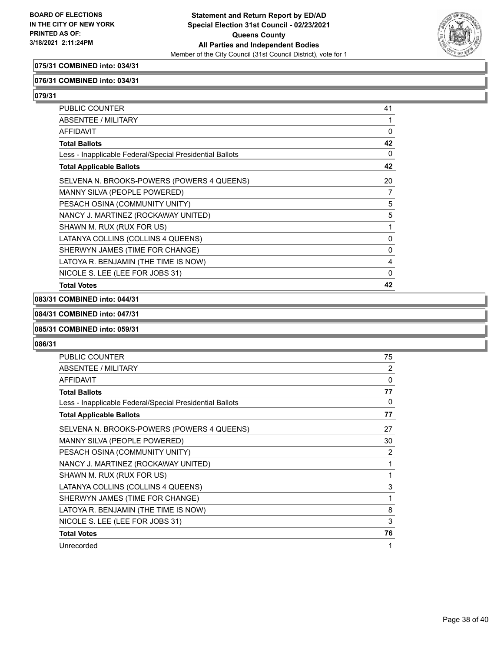

## **075/31 COMBINED into: 034/31**

#### **076/31 COMBINED into: 034/31**

**079/31** 

| PUBLIC COUNTER                                           | 41       |
|----------------------------------------------------------|----------|
| ABSENTEE / MILITARY                                      | 1        |
| <b>AFFIDAVIT</b>                                         | 0        |
| <b>Total Ballots</b>                                     | 42       |
| Less - Inapplicable Federal/Special Presidential Ballots | 0        |
| <b>Total Applicable Ballots</b>                          | 42       |
| SELVENA N. BROOKS-POWERS (POWERS 4 QUEENS)               | 20       |
| MANNY SILVA (PEOPLE POWERED)                             | 7        |
| PESACH OSINA (COMMUNITY UNITY)                           | 5        |
| NANCY J. MARTINEZ (ROCKAWAY UNITED)                      | 5        |
| SHAWN M. RUX (RUX FOR US)                                | 1        |
| LATANYA COLLINS (COLLINS 4 QUEENS)                       | $\Omega$ |
| SHERWYN JAMES (TIME FOR CHANGE)                          | 0        |
| LATOYA R. BENJAMIN (THE TIME IS NOW)                     | 4        |
| NICOLE S. LEE (LEE FOR JOBS 31)                          | 0        |
| <b>Total Votes</b>                                       | 42       |

## **083/31 COMBINED into: 044/31**

#### **084/31 COMBINED into: 047/31**

#### **085/31 COMBINED into: 059/31**

| <b>PUBLIC COUNTER</b>                                    | 75 |
|----------------------------------------------------------|----|
| <b>ABSENTEE / MILITARY</b>                               | 2  |
| <b>AFFIDAVIT</b>                                         | 0  |
| <b>Total Ballots</b>                                     | 77 |
| Less - Inapplicable Federal/Special Presidential Ballots | 0  |
| <b>Total Applicable Ballots</b>                          | 77 |
| SELVENA N. BROOKS-POWERS (POWERS 4 QUEENS)               | 27 |
| MANNY SILVA (PEOPLE POWERED)                             | 30 |
| PESACH OSINA (COMMUNITY UNITY)                           | 2  |
| NANCY J. MARTINEZ (ROCKAWAY UNITED)                      | 1  |
| SHAWN M. RUX (RUX FOR US)                                | 1  |
| LATANYA COLLINS (COLLINS 4 QUEENS)                       | 3  |
| SHERWYN JAMES (TIME FOR CHANGE)                          | 1  |
| LATOYA R. BENJAMIN (THE TIME IS NOW)                     | 8  |
| NICOLE S. LEE (LEE FOR JOBS 31)                          | 3  |
| <b>Total Votes</b>                                       | 76 |
| Unrecorded                                               | 1  |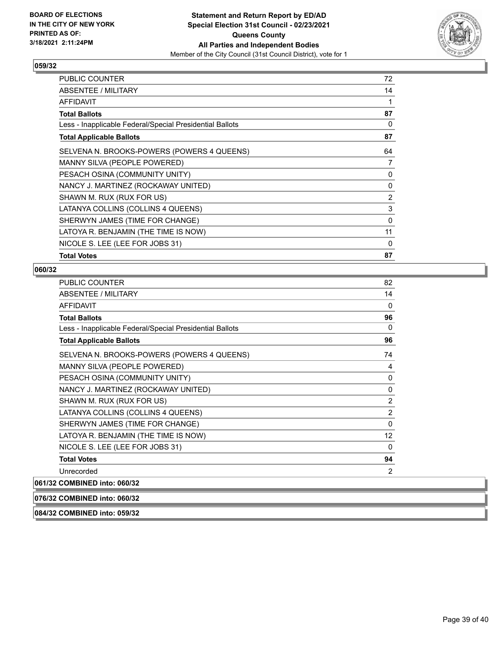

| <b>PUBLIC COUNTER</b>                                    | 72       |
|----------------------------------------------------------|----------|
| <b>ABSENTEE / MILITARY</b>                               | 14       |
| AFFIDAVIT                                                | 1        |
| Total Ballots                                            | 87       |
| Less - Inapplicable Federal/Special Presidential Ballots | 0        |
| <b>Total Applicable Ballots</b>                          | 87       |
| SELVENA N. BROOKS-POWERS (POWERS 4 QUEENS)               | 64       |
| MANNY SILVA (PEOPLE POWERED)                             | 7        |
| PESACH OSINA (COMMUNITY UNITY)                           | 0        |
| NANCY J. MARTINEZ (ROCKAWAY UNITED)                      | 0        |
| SHAWN M. RUX (RUX FOR US)                                | 2        |
| LATANYA COLLINS (COLLINS 4 QUEENS)                       | 3        |
| SHERWYN JAMES (TIME FOR CHANGE)                          | 0        |
| LATOYA R. BENJAMIN (THE TIME IS NOW)                     | 11       |
| NICOLE S. LEE (LEE FOR JOBS 31)                          | $\Omega$ |
| <b>Total Votes</b>                                       | 87       |

### **060/32**

| PUBLIC COUNTER                                           | 82           |
|----------------------------------------------------------|--------------|
| <b>ABSENTEE / MILITARY</b>                               | 14           |
| <b>AFFIDAVIT</b>                                         | $\mathbf{0}$ |
| <b>Total Ballots</b>                                     | 96           |
| Less - Inapplicable Federal/Special Presidential Ballots | $\Omega$     |
| <b>Total Applicable Ballots</b>                          | 96           |
| SELVENA N. BROOKS-POWERS (POWERS 4 QUEENS)               | 74           |
| MANNY SILVA (PEOPLE POWERED)                             | 4            |
| PESACH OSINA (COMMUNITY UNITY)                           | 0            |
| NANCY J. MARTINEZ (ROCKAWAY UNITED)                      | 0            |
| SHAWN M. RUX (RUX FOR US)                                | 2            |
| LATANYA COLLINS (COLLINS 4 QUEENS)                       | 2            |
| SHERWYN JAMES (TIME FOR CHANGE)                          | $\Omega$     |
| LATOYA R. BENJAMIN (THE TIME IS NOW)                     | 12           |
| NICOLE S. LEE (LEE FOR JOBS 31)                          | $\Omega$     |
| <b>Total Votes</b>                                       | 94           |
| Unrecorded                                               | 2            |
| 061/32 COMBINED into: 060/32                             |              |

## **076/32 COMBINED into: 060/32**

**084/32 COMBINED into: 059/32**